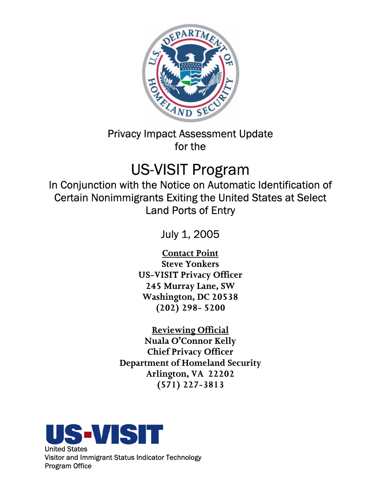

Privacy Impact Assessment Update for the

# US-VISIT Program

In Conjunction with the Notice on Automatic Identification of Certain Nonimmigrants Exiting the United States at Select Land Ports of Entry

July 1, 2005

**Contact Point Steve Yonkers US-VISIT Privacy Officer 245 Murray Lane, SW Washington, DC 20538 (202) 298- 5200** 

**Reviewing Official Nuala O'Connor Kelly Chief Privacy Officer Department of Homeland Security Arlington, VA 22202 (571) 227-3813** 

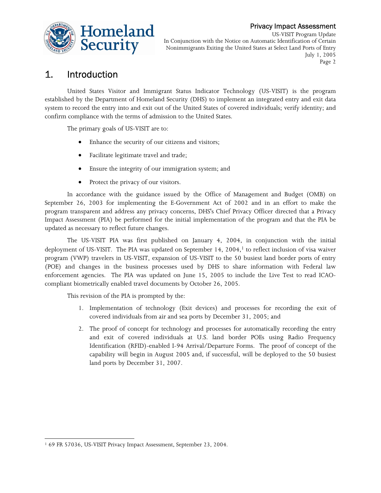

US-VISIT Program Update In Conjunction with the Notice on Automatic Identification of Certain Nonimmigrants Exiting the United States at Select Land Ports of Entry July 1, 2005 Page 2

# 1. Introduction

United States Visitor and Immigrant Status Indicator Technology (US-VISIT) is the program established by the Department of Homeland Security (DHS) to implement an integrated entry and exit data system to record the entry into and exit out of the United States of covered individuals; verify identity; and confirm compliance with the terms of admission to the United States.

The primary goals of US-VISIT are to:

- Enhance the security of our citizens and visitors;
- • Facilitate legitimate travel and trade;
- • Ensure the integrity of our immigration system; and
- Protect the privacy of our visitors.

In accordance with the guidance issued by the Office of Management and Budget (OMB) on September 26, 2003 for implementing the E-Government Act of 2002 and in an effort to make the program transparent and address any privacy concerns, DHS's Chief Privacy Officer directed that a Privacy Impact Assessment (PIA) be performed for the initial implementation of the program and that the PIA be updated as necessary to reflect future changes.

The US-VISIT PIA was first published on January 4, 2004, in conjunction with the initial deployment of US-VISIT. The PIA was updated on September 14,  $2004<sup>1</sup>$  to reflect inclusion of visa waiver program (VWP) travelers in US-VISIT, expansion of US-VISIT to the 50 busiest land border ports of entry (POE) and changes in the business processes used by DHS to share information with Federal law enforcement agencies. The PIA was updated on June 15, 2005 to include the Live Test to read ICAOcompliant biometrically enabled travel documents by October 26, 2005.

This revision of the PIA is prompted by the:

- 1. Implementation of technology (Exit devices) and processes for recording the exit of covered individuals from air and sea ports by December 31, 2005; and
- 2. The proof of concept for technology and processes for automatically recording the entry and exit of covered individuals at U.S. land border POEs using Radio Frequency Identification (RFID)-enabled I-94 Arrival/Departure Forms. The proof of concept of the capability will begin in August 2005 and, if successful, will be deployed to the 50 busiest land ports by December 31, 2007.

 $\overline{a}$ 

<sup>1 69</sup> FR 57036, US-VISIT Privacy Impact Assessment, September 23, 2004.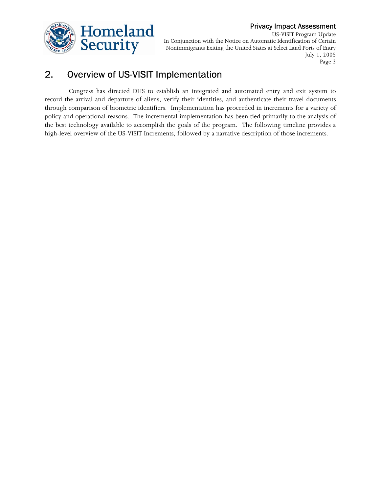



US-VISIT Program Update In Conjunction with the Notice on Automatic Identification of Certain Nonimmigrants Exiting the United States at Select Land Ports of Entry July 1, 2005 Page 3

# 2. Overview of US-VISIT Implementation

Congress has directed DHS to establish an integrated and automated entry and exit system to record the arrival and departure of aliens, verify their identities, and authenticate their travel documents through comparison of biometric identifiers. Implementation has proceeded in increments for a variety of policy and operational reasons. The incremental implementation has been tied primarily to the analysis of the best technology available to accomplish the goals of the program. The following timeline provides a high-level overview of the US-VISIT Increments, followed by a narrative description of those increments.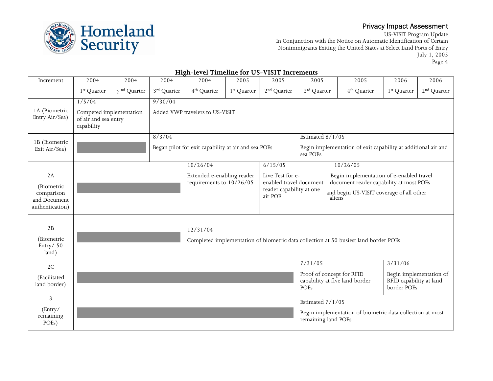

US-VISIT Program Update In Conjunction with the Notice on Automatic Identification of Certain Nonimmigrants Exiting the United States at Select Land Ports of Entry July 1, 2005 Page 4

|                                                                   |                                                               |                  |                         | Ingu-icver Thinehine for Ob- There increm-             |                         |                                                                                    |                                                                     |                                                                                                                                 |                                        |                         |
|-------------------------------------------------------------------|---------------------------------------------------------------|------------------|-------------------------|--------------------------------------------------------|-------------------------|------------------------------------------------------------------------------------|---------------------------------------------------------------------|---------------------------------------------------------------------------------------------------------------------------------|----------------------------------------|-------------------------|
| Increment                                                         | 2004                                                          | 2004             | 2004                    | 2004                                                   | 2005                    | 2005                                                                               | 2005                                                                | 2005                                                                                                                            | 2006                                   | 2006                    |
|                                                                   | 1 <sup>st</sup> Quarter                                       | $2^{nd}$ Quarter | 3 <sup>rd</sup> Quarter | 4 <sup>th</sup> Quarter                                | 1 <sup>st</sup> Quarter | 2 <sup>nd</sup> Quarter                                                            | 3 <sup>rd</sup> Quarter                                             | 4 <sup>th</sup> Quarter                                                                                                         | 1 <sup>st</sup> Quarter                | 2 <sup>nd</sup> Quarter |
|                                                                   | 1/5/04                                                        |                  | 9/30/04                 |                                                        |                         |                                                                                    |                                                                     |                                                                                                                                 |                                        |                         |
| 1A (Biometric<br>Entry Air/Sea)                                   | Competed implementation<br>of air and sea entry<br>capability |                  |                         | Added VWP travelers to US-VISIT                        |                         |                                                                                    |                                                                     |                                                                                                                                 |                                        |                         |
|                                                                   |                                                               |                  | 8/3/04                  |                                                        |                         |                                                                                    | Estimated 8/1/05                                                    |                                                                                                                                 |                                        |                         |
| 1B (Biometric<br>Exit Air/Sea)                                    |                                                               |                  |                         | Began pilot for exit capability at air and sea POEs    |                         |                                                                                    | sea POEs                                                            | Begin implementation of exit capability at additional air and                                                                   |                                        |                         |
|                                                                   |                                                               |                  |                         | 10/26/04                                               |                         | 6/15/05                                                                            |                                                                     | 10/26/05                                                                                                                        |                                        |                         |
| 2A<br>(Biometric<br>comparison<br>and Document<br>authentication) |                                                               |                  |                         | Extended e-enabling reader<br>requirements to 10/26/05 |                         | Live Test for e-<br>enabled travel document<br>reader capability at one<br>air POE | aliens                                                              | Begin implementation of e-enabled travel<br>document reader capability at most POEs<br>and begin US-VISIT coverage of all other |                                        |                         |
| 2B<br>(Biometric<br>Entry/50<br>land)                             |                                                               |                  |                         | 12/31/04                                               |                         |                                                                                    |                                                                     | Completed implementation of biometric data collection at 50 busiest land border POEs                                            |                                        |                         |
| 2C                                                                |                                                               |                  |                         |                                                        |                         |                                                                                    | 7/31/05                                                             |                                                                                                                                 | 3/31/06                                |                         |
| (Facilitated<br>land border)                                      |                                                               |                  |                         |                                                        |                         |                                                                                    | Proof of concept for RFID<br>capability at five land border<br>POEs |                                                                                                                                 | RFID capability at land<br>border POEs | Begin implementation of |
| 3                                                                 |                                                               |                  |                         |                                                        |                         |                                                                                    | Estimated 7/1/05                                                    |                                                                                                                                 |                                        |                         |
| (Entry/<br>remaining<br>POEs)                                     |                                                               |                  |                         |                                                        |                         |                                                                                    | remaining land POEs                                                 | Begin implementation of biometric data collection at most                                                                       |                                        |                         |

#### **High-level Timeline for US-VISIT Increments**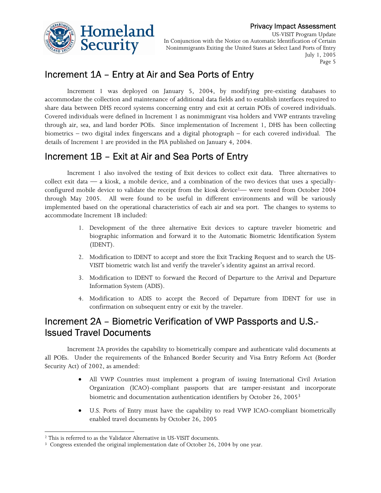



US-VISIT Program Update In Conjunction with the Notice on Automatic Identification of Certain Nonimmigrants Exiting the United States at Select Land Ports of Entry July 1, 2005 Page 5

# Increment 1A – Entry at Air and Sea Ports of Entry

share data between DHS record systems concerning entry and exit at certain POEs of covered individuals. Increment 1 was deployed on January 5, 2004, by modifying pre-existing databases to accommodate the collection and maintenance of additional data fields and to establish interfaces required to Covered individuals were defined in Increment 1 as nonimmigrant visa holders and VWP entrants traveling through air, sea, and land border POEs. Since implementation of Increment 1, DHS has been collecting biometrics – two digital index fingerscans and a digital photograph – for each covered individual. The details of Increment 1 are provided in the PIA published on January 4, 2004.

# Increment 1B – Exit at Air and Sea Ports of Entry

Increment 1 also involved the testing of Exit devices to collect exit data. Three alternatives to collect exit data — a kiosk, a mobile device, and a combination of the two devices that uses a speciallyconfigured mobile device to validate the receipt from the kiosk device<sup>2</sup>— were tested from October 2004 through May 2005. All were found to be useful in different environments and will be variously implemented based on the operational characteristics of each air and sea port. The changes to systems to accommodate Increment 1B included:

- 1. Development of the three alternative Exit devices to capture traveler biometric and biographic information and forward it to the Automatic Biometric Identification System (IDENT).
- 2. Modification to IDENT to accept and store the Exit Tracking Request and to search the US-VISIT biometric watch list and verify the traveler's identity against an arrival record.
- 3. Modification to IDENT to forward the Record of Departure to the Arrival and Departure Information System (ADIS).
- 4. Modification to ADIS to accept the Record of Departure from IDENT for use in confirmation on subsequent entry or exit by the traveler.

# Increment 2A – Biometric Verification of VWP Passports and U.S.- Issued Travel Documents

Increment 2A provides the capability to biometrically compare and authenticate valid documents at all POEs. Under the requirements of the Enhanced Border Security and Visa Entry Reform Act (Border Security Act) of 2002, as amended:

- • All VWP Countries must implement a program of issuing International Civil Aviation Organization (ICAO)-compliant passports that are tamper-resistant and incorporate biometric and documentation authentication identifiers by October 26, 20053
- • U.S. Ports of Entry must have the capability to read VWP ICAO-compliant biometrically enabled travel documents by October 26, 2005

 $\overline{a}$ 

 $^2$  This is referred to as the Validator Alternative in US-VISIT documents.  $^3$  Congress extended the original implementation date of October 26, 2004 by one year.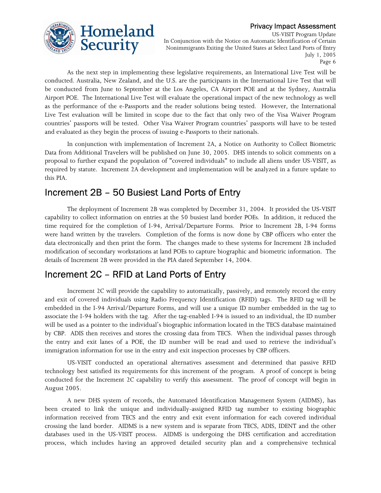

US-VISIT Program Update In Conjunction with the Notice on Automatic Identification of Certain Nonimmigrants Exiting the United States at Select Land Ports of Entry July 1, 2005 Page 6

As the next step in implementing these legislative requirements, an International Live Test will be conducted. Australia, New Zealand, and the U.S. are the participants in the International Live Test that will be conducted from June to September at the Los Angeles, CA Airport POE and at the Sydney, Australia Airport POE. The International Live Test will evaluate the operational impact of the new technology as well as the performance of the e-Passports and the reader solutions being tested. However, the International Live Test evaluation will be limited in scope due to the fact that only two of the Visa Waiver Program countries' passports will be tested. Other Visa Waiver Program countries' passports will have to be tested and evaluated as they begin the process of issuing e-Passports to their nationals.

In conjunction with implementation of Increment 2A, a Notice on Authority to Collect Biometric Data from Additional Travelers will be published on June 30, 2005. DHS intends to solicit comments on a proposal to further expand the population of "covered individuals" to include all aliens under US-VISIT, as required by statute. Increment 2A development and implementation will be analyzed in a future update to this PIA.

# Increment 2B – 50 Busiest Land Ports of Entry

 data electronically and then print the form. The changes made to these systems for Increment 2B included The deployment of Increment 2B was completed by December 31, 2004. It provided the US-VISIT capability to collect information on entries at the 50 busiest land border POEs. In addition, it reduced the time required for the completion of I-94, Arrival/Departure Forms. Prior to Increment 2B, I-94 forms were hand written by the travelers. Completion of the forms is now done by CBP officers who enter the modification of secondary workstations at land POEs to capture biographic and biometric information. The details of Increment 2B were provided in the PIA dated September 14, 2004.

# Increment 2C – RFID at Land Ports of Entry

Increment 2C will provide the capability to automatically, passively, and remotely record the entry and exit of covered individuals using Radio Frequency Identification (RFID) tags. The RFID tag will be embedded in the I-94 Arrival/Departure Forms, and will use a unique ID number embedded in the tag to associate the I-94 holders with the tag. After the tag-enabled I-94 is issued to an individual, the ID number will be used as a pointer to the individual's biographic information located in the TECS database maintained by CBP. ADIS then receives and stores the crossing data from TECS. When the individual passes through the entry and exit lanes of a POE, the ID number will be read and used to retrieve the individual's immigration information for use in the entry and exit inspection processes by CBP officers.

August 2005. US-VISIT conducted an operational alternatives assessment and determined that passive RFID technology best satisfied its requirements for this increment of the program. A proof of concept is being conducted for the Increment 2C capability to verify this assessment. The proof of concept will begin in

A new DHS system of records, the Automated Identification Management System (AIDMS), has been created to link the unique and individually-assigned RFID tag number to existing biographic information received from TECS and the entry and exit event information for each covered individual crossing the land border. AIDMS is a new system and is separate from TECS, ADIS, IDENT and the other databases used in the US-VISIT process. AIDMS is undergoing the DHS certification and accreditation process, which includes having an approved detailed security plan and a comprehensive technical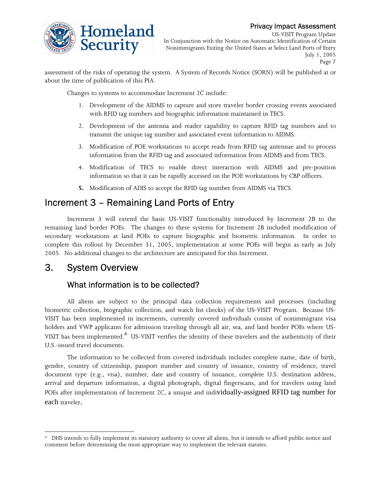

US-VISIT Program Update In Conjunction with the Notice on Automatic Identification of Certain Nonimmigrants Exiting the United States at Select Land Ports of Entry July 1, 2005 Page 7

about the time of publication of this PIA. assessment of the risks of operating the system. A System of Records Notice (SORN) will be published at or

Changes to systems to accommodate Increment 2C include:

- 1. Development of the AIDMS to capture and store traveler border crossing events associated with RFID tag numbers and biographic information maintained in TECS.
- 2. Development of the antenna and reader capability to capture RFID tag numbers and to transmit the unique tag number and associated event information to AIDMS.
- 3. Modification of POE workstations to accept reads from RFID tag antennae and to process information from the RFID tag and associated information from AIDMS and from TECS.
- 4. Modification of TECS to enable direct interaction with AIDMS and pre-position information so that it can be rapidly accessed on the POE workstations by CBP officers.
- **5.** Modification of ADIS to accept the RFID tag number from AIDMS via TECS.

# Increment 3 – Remaining Land Ports of Entry

Increment 3 will extend the basic US-VISIT functionality introduced by Increment 2B to the remaining land border POEs. The changes to these systems for Increment 2B included modification of secondary workstations at land POEs to capture biographic and biometric information. In order to complete this rollout by December 31, 2005, implementation at some POEs will begin as early as July 2005. No additional changes to the architecture are anticipated for this Increment.

# 3. System Overview

## What information is to be collected?

All aliens are subject to the principal data collection requirements and processes (including biometric collection, biographic collection, and watch list checks) of the US-VISIT Program. Because US-VISIT has been implemented in increments, currently covered individuals consist of nonimmigrant visa holders and VWP applicants for admission traveling through all air, sea, and land border POEs where US-VISIT has been implemented.<sup>4</sup> US-VISIT verifies the identity of these travelers and the authenticity of their U.S.-issued travel documents.

 The information to be collected from covered individuals includes complete name, date of birth, gender, country of citizenship, passport number and country of issuance, country of residence, travel document type (e.g., visa), number, date and country of issuance, complete U.S. destination address, arrival and departure information, a digital photograph, digital fingerscans, and for travelers using land POEs after implementation of Increment 2C, a unique and individually-assigned RFID tag number for each traveler.

 $\overline{a}$  DHS intends to fully implement its statutory authority to cover all aliens, but it intends to afford public notice and 4comment before determining the most appropriate way to implement the relevant statutes.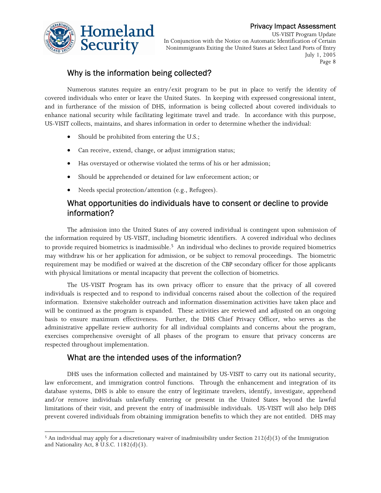

US-VISIT Program Update In Conjunction with the Notice on Automatic Identification of Certain Nonimmigrants Exiting the United States at Select Land Ports of Entry July 1, 2005 Page 8

## Why is the information being collected?

Numerous statutes require an entry/exit program to be put in place to verify the identity of covered individuals who enter or leave the United States. In keeping with expressed congressional intent, and in furtherance of the mission of DHS, information is being collected about covered individuals to enhance national security while facilitating legitimate travel and trade. In accordance with this purpose, US-VISIT collects, maintains, and shares information in order to determine whether the individual:

- Should be prohibited from entering the U.S.;
- Can receive, extend, change, or adjust immigration status;
- Has overstayed or otherwise violated the terms of his or her admission;
- Should be apprehended or detained for law enforcement action; or
- Needs special protection/attention (e.g., Refugees).

## What opportunities do individuals have to consent or decline to provide information?

The admission into the United States of any covered individual is contingent upon submission of the information required by US-VISIT, including biometric identifiers. A covered individual who declines to provide required biometrics is inadmissible.<sup>5</sup> An individual who declines to provide required biometrics may withdraw his or her application for admission, or be subject to removal proceedings. The biometric requirement may be modified or waived at the discretion of the CBP secondary officer for those applicants with physical limitations or mental incapacity that prevent the collection of biometrics.

The US-VISIT Program has its own privacy officer to ensure that the privacy of all covered individuals is respected and to respond to individual concerns raised about the collection of the required information. Extensive stakeholder outreach and information dissemination activities have taken place and will be continued as the program is expanded. These activities are reviewed and adjusted on an ongoing basis to ensure maximum effectiveness. Further, the DHS Chief Privacy Officer, who serves as the administrative appellate review authority for all individual complaints and concerns about the program, exercises comprehensive oversight of all phases of the program to ensure that privacy concerns are respected throughout implementation.

## What are the intended uses of the information?

DHS uses the information collected and maintained by US-VISIT to carry out its national security, law enforcement, and immigration control functions. Through the enhancement and integration of its database systems, DHS is able to ensure the entry of legitimate travelers, identify, investigate, apprehend and/or remove individuals unlawfully entering or present in the United States beyond the lawful limitations of their visit, and prevent the entry of inadmissible individuals. US-VISIT will also help DHS prevent covered individuals from obtaining immigration benefits to which they are not entitled. DHS may

 $\overline{a}$ <sup>5</sup> An individual may apply for a discretionary waiver of inadmissibility under Section  $212(d)(3)$  of the Immigration and Nationality Act, 8 U.S.C. 1182(d)(3).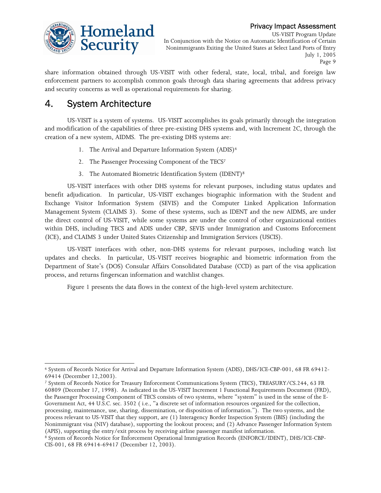

US-VISIT Program Update In Conjunction with the Notice on Automatic Identification of Certain Nonimmigrants Exiting the United States at Select Land Ports of Entry July 1, 2005 Page 9

 and security concerns as well as operational requirements for sharing. share information obtained through US-VISIT with other federal, state, local, tribal, and foreign law enforcement partners to accomplish common goals through data sharing agreements that address privacy

# 4. System Architecture

 $\overline{a}$ 

US-VISIT is a system of systems. US-VISIT accomplishes its goals primarily through the integration and modification of the capabilities of three pre-existing DHS systems and, with Increment 2C, through the creation of a new system, AIDMS. The pre-existing DHS systems are:

- 1. The Arrival and Departure Information System (ADIS)<sup>6</sup>
- 2. The Passenger Processing Component of the TECS7
- 3. The Automated Biometric Identification System (IDENT)8

US-VISIT interfaces with other DHS systems for relevant purposes, including status updates and benefit adjudication. In particular, US-VISIT exchanges biographic information with the Student and Exchange Visitor Information System (SEVIS) and the Computer Linked Application Information Management System (CLAIMS 3). Some of these systems, such as IDENT and the new AIDMS, are under the direct control of US-VISIT, while some systems are under the control of other organizational entities within DHS, including TECS and ADIS under CBP, SEVIS under Immigration and Customs Enforcement (ICE), and CLAIMS 3 under United States Citizenship and Immigration Services (USCIS).

US-VISIT interfaces with other, non-DHS systems for relevant purposes, including watch list updates and checks. In particular, US-VISIT receives biographic and biometric information from the Department of State's (DOS) Consular Affairs Consolidated Database (CCD) as part of the visa application process, and returns fingerscan information and watchlist changes.

Figure 1 presents the data flows in the context of the high-level system architecture.

<sup>6</sup> System of Records Notice for Arrival and Departure Information System (ADIS), DHS/ICE-CBP-001, 68 FR 69412- 69414 (December 12,2003).

<sup>7</sup> System of Records Notice for Treasury Enforcement Communications System (TECS), TREASURY/CS.244, 63 FR 60809 (December 17, 1998). As indicated in the US-VISIT Increment 1 Functional Requirements Document (FRD), the Passenger Processing Component of TECS consists of two systems, where "system" is used in the sense of the E-Government Act, 44 U.S.C. sec. 3502 ( i.e., "a discrete set of information resources organized for the collection, processing, maintenance, use, sharing, dissemination, or disposition of information."). The two systems, and the process relevant to US-VISIT that they support, are (1) Interagency Border Inspection System (IBIS) (including the Nonimmigrant visa (NIV) database), supporting the lookout process; and (2) Advance Passenger Information System (APIS), supporting the entry/exit process by receiving airline passenger manifest information.

<sup>&</sup>lt;sup>8</sup> System of Records Notice for Enforcement Operational Immigration Records (ENFORCE/IDENT), DHS/ICE-CBP-CIS-001, 68 FR 69414-69417 (December 12, 2003).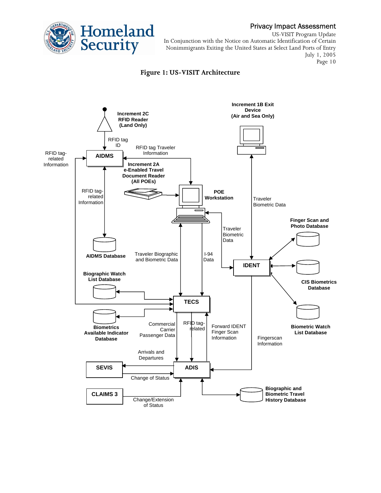

US-VISIT Program Update In Conjunction with the Notice on Automatic Identification of Certain Nonimmigrants Exiting the United States at Select Land Ports of Entry July 1, 2005 Page 10

#### **Figure 1: US-VISIT Architecture**

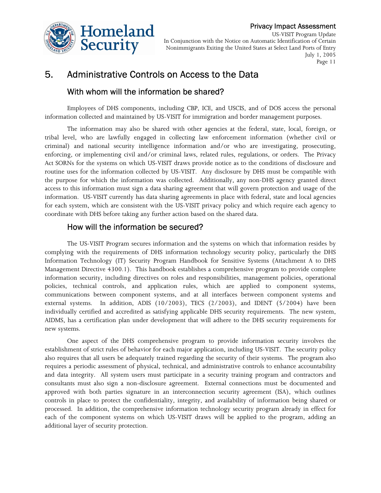

US-VISIT Program Update In Conjunction with the Notice on Automatic Identification of Certain Nonimmigrants Exiting the United States at Select Land Ports of Entry July 1, 2005 Page 11

# 5. Administrative Controls on Access to the Data

## With whom will the information be shared?

 Employees of DHS components, including CBP, ICE, and USCIS, and of DOS access the personal information collected and maintained by US-VISIT for immigration and border management purposes.

The information may also be shared with other agencies at the federal, state, local, foreign, or tribal level, who are lawfully engaged in collecting law enforcement information (whether civil or criminal) and national security intelligence information and/or who are investigating, prosecuting, enforcing, or implementing civil and/or criminal laws, related rules, regulations, or orders. The Privacy Act SORNs for the systems on which US-VISIT draws provide notice as to the conditions of disclosure and routine uses for the information collected by US-VISIT. Any disclosure by DHS must be compatible with the purpose for which the information was collected. Additionally, any non-DHS agency granted direct access to this information must sign a data sharing agreement that will govern protection and usage of the information. US-VISIT currently has data sharing agreements in place with federal, state and local agencies for each system, which are consistent with the US-VISIT privacy policy and which require each agency to coordinate with DHS before taking any further action based on the shared data.

## How will the information be secured?

The US-VISIT Program secures information and the systems on which that information resides by complying with the requirements of DHS information technology security policy, particularly the DHS Information Technology (IT) Security Program Handbook for Sensitive Systems (Attachment A to DHS Management Directive 4300.1). This handbook establishes a comprehensive program to provide complete information security, including directives on roles and responsibilities, management policies, operational policies, technical controls, and application rules, which are applied to component systems, communications between component systems, and at all interfaces between component systems and external systems. In addition, ADIS (10/2003), TECS (2/2003), and IDENT (5/2004) have been individually certified and accredited as satisfying applicable DHS security requirements. The new system, AIDMS, has a certification plan under development that will adhere to the DHS security requirements for new systems.

One aspect of the DHS comprehensive program to provide information security involves the establishment of strict rules of behavior for each major application, including US-VISIT. The security policy also requires that all users be adequately trained regarding the security of their systems. The program also requires a periodic assessment of physical, technical, and administrative controls to enhance accountability and data integrity. All system users must participate in a security training program and contractors and consultants must also sign a non-disclosure agreement. External connections must be documented and approved with both parties signature in an interconnection security agreement (ISA), which outlines controls in place to protect the confidentiality, integrity, and availability of information being shared or processed. In addition, the comprehensive information technology security program already in effect for each of the component systems on which US-VISIT draws will be applied to the program, adding an additional layer of security protection.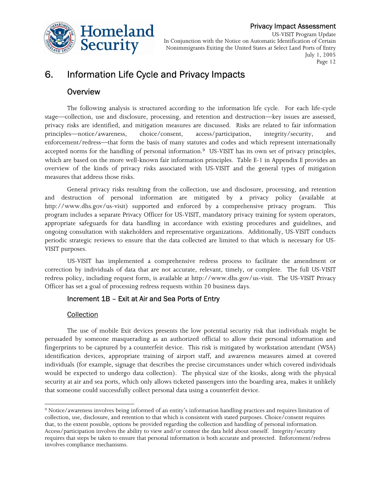

US-VISIT Program Update In Conjunction with the Notice on Automatic Identification of Certain Nonimmigrants Exiting the United States at Select Land Ports of Entry July 1, 2005 Page 12

# 6. Information Life Cycle and Privacy Impacts

## **Overview**

The following analysis is structured according to the information life cycle. For each life-cycle stage—collection, use and disclosure, processing, and retention and destruction—key issues are assessed, privacy risks are identified, and mitigation measures are discussed. Risks are related to fair information principles—notice/awareness, choice/consent, access/participation, integrity/security, and enforcement/redress—that form the basis of many statutes and codes and which represent internationally accepted norms for the handling of personal information.<sup>9</sup> US-VISIT has its own set of privacy principles, which are based on the more well-known fair information principles. Table E-1 in Appendix E provides an overview of the kinds of privacy risks associated with US-VISIT and the general types of mitigation measures that address those risks.

General privacy risks resulting from the collection, use and disclosure, processing, and retention and destruction of personal information are mitigated by a privacy policy (available at http://www.dhs.gov/us-visit) supported and enforced by a comprehensive privacy program. This program includes a separate Privacy Officer for US-VISIT, mandatory privacy training for system operators, appropriate safeguards for data handling in accordance with existing procedures and guidelines, and ongoing consultation with stakeholders and representative organizations. Additionally, US-VISIT conducts periodic strategic reviews to ensure that the data collected are limited to that which is necessary for US-VISIT purposes.

US-VISIT has implemented a comprehensive redress process to facilitate the amendment or correction by individuals of data that are not accurate, relevant, timely, or complete. The full US-VISIT redress policy, including request form, is available at http://www.dhs.gov/us-visit. The US-VISIT Privacy Officer has set a goal of processing redress requests within 20 business days.

## Increment 1B – Exit at Air and Sea Ports of Entry

## **Collection**

The use of mobile Exit devices presents the low potential security risk that individuals might be persuaded by someone masquerading as an authorized official to allow their personal information and fingerprints to be captured by a counterfeit device. This risk is mitigated by workstation attendant (WSA) identification devices, appropriate training of airport staff, and awareness measures aimed at covered individuals (for example, signage that describes the precise circumstances under which covered individuals would be expected to undergo data collection). The physical size of the kiosks, along with the physical security at air and sea ports, which only allows ticketed passengers into the boarding area, makes it unlikely that someone could successfully collect personal data using a counterfeit device.

 $\overline{a}$ 9 Notice/awareness involves being informed of an entity's information handling practices and requires limitation of collection, use, disclosure, and retention to that which is consistent with stated purposes. Choice/consent requires that, to the extent possible, options be provided regarding the collection and handling of personal information. Access/participation involves the ability to view and/or contest the data held about oneself. Integrity/security requires that steps be taken to ensure that personal information is both accurate and protected. Enforcement/redress involves compliance mechanisms.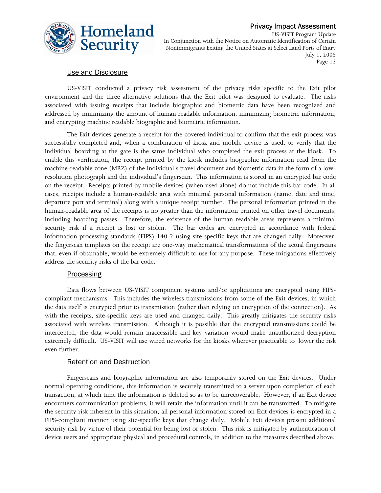

US-VISIT Program Update In Conjunction with the Notice on Automatic Identification of Certain Nonimmigrants Exiting the United States at Select Land Ports of Entry July 1, 2005 Page 13

## Use and Disclosure

 environment and the three alternative solutions that the Exit pilot was designed to evaluate. The risks associated with issuing receipts that include biographic and biometric data have been recognized and US-VISIT conducted a privacy risk assessment of the privacy risks specific to the Exit pilot addressed by minimizing the amount of human readable information, minimizing biometric information, and encrypting machine readable biographic and biometric information.

 information processing standards (FIPS) 140-2 using site-specific keys that are changed daily. Moreover, The Exit devices generate a receipt for the covered individual to confirm that the exit process was successfully completed and, when a combination of kiosk and mobile device is used, to verify that the individual boarding at the gate is the same individual who completed the exit process at the kiosk. To enable this verification, the receipt printed by the kiosk includes biographic information read from the machine-readable zone (MRZ) of the individual's travel document and biometric data in the form of a lowresolution photograph and the individual's fingerscan. This information is stored in an encrypted bar code on the receipt. Receipts printed by mobile devices (when used alone) do not include this bar code. In all cases, receipts include a human-readable area with minimal personal information (name, date and time, departure port and terminal) along with a unique receipt number. The personal information printed in the human-readable area of the receipts is no greater than the information printed on other travel documents, including boarding passes. Therefore, the existence of the human readable areas represents a minimal security risk if a receipt is lost or stolen. The bar codes are encrypted in accordance with federal the fingerscan templates on the receipt are one-way mathematical transformations of the actual fingerscans that, even if obtainable, would be extremely difficult to use for any purpose. These mitigations effectively address the security risks of the bar code.

#### **Processing**

Data flows between US-VISIT component systems and/or applications are encrypted using FIPScompliant mechanisms. This includes the wireless transmissions from some of the Exit devices, in which the data itself is encrypted prior to transmission (rather than relying on encryption of the connection). As with the receipts, site-specific keys are used and changed daily. This greatly mitigates the security risks associated with wireless transmission. Although it is possible that the encrypted transmissions could be intercepted, the data would remain inaccessible and key variation would make unauthorized decryption extremely difficult. US-VISIT will use wired networks for the kiosks wherever practicable to lower the risk even further.

#### Retention and Destruction

Fingerscans and biographic information are also temporarily stored on the Exit devices. Under normal operating conditions, this information is securely transmitted to a server upon completion of each transaction, at which time the information is deleted so as to be unrecoverable. However, if an Exit device encounters communication problems, it will retain the information until it can be transmitted. To mitigate the security risk inherent in this situation, all personal information stored on Exit devices is encrypted in a FIPS-compliant manner using site-specific keys that change daily. Mobile Exit devices present additional security risk by virtue of their potential for being lost or stolen. This risk is mitigated by authentication of device users and appropriate physical and procedural controls, in addition to the measures described above.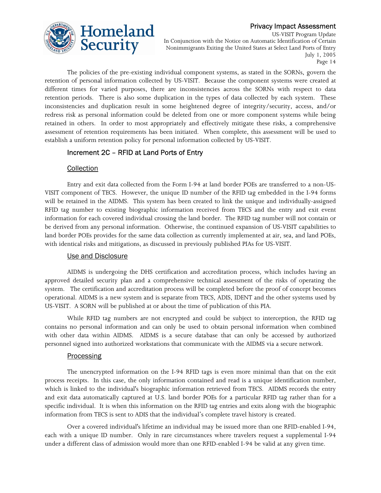

US-VISIT Program Update In Conjunction with the Notice on Automatic Identification of Certain Nonimmigrants Exiting the United States at Select Land Ports of Entry July 1, 2005 Page 14

The policies of the pre-existing individual component systems, as stated in the SORNs, govern the retention of personal information collected by US-VISIT. Because the component systems were created at different times for varied purposes, there are inconsistencies across the SORNs with respect to data retention periods. There is also some duplication in the types of data collected by each system. These inconsistencies and duplication result in some heightened degree of integrity/security, access, and/or redress risk as personal information could be deleted from one or more component systems while being retained in others. In order to most appropriately and effectively mitigate these risks, a comprehensive assessment of retention requirements has been initiated. When complete, this assessment will be used to establish a uniform retention policy for personal information collected by US-VISIT.

## Increment 2C – RFID at Land Ports of Entry

#### **Collection**

 VISIT component of TECS. However, the unique ID number of the RFID tag embedded in the I-94 forms information for each covered individual crossing the land border. The RFID tag number will not contain or Entry and exit data collected from the Form I-94 at land border POEs are transferred to a non-USwill be retained in the AIDMS. This system has been created to link the unique and individually-assigned RFID tag number to existing biographic information received from TECS and the entry and exit event be derived from any personal information. Otherwise, the continued expansion of US-VISIT capabilities to land border POEs provides for the same data collection as currently implemented at air, sea, and land POEs, with identical risks and mitigations, as discussed in previously published PIAs for US-VISIT.

#### Use and Disclosure

 system. The certification and accreditation process will be completed before the proof of concept becomes AIDMS is undergoing the DHS certification and accreditation process, which includes having an approved detailed security plan and a comprehensive technical assessment of the risks of operating the operational. AIDMS is a new system and is separate from TECS, ADIS, IDENT and the other systems used by US-VISIT. A SORN will be published at or about the time of publication of this PIA.

While RFID tag numbers are not encrypted and could be subject to interception, the RFID tag contains no personal information and can only be used to obtain personal information when combined with other data within AIDMS. AIDMS is a secure database that can only be accessed by authorized personnel signed into authorized workstations that communicate with the AIDMS via a secure network.

## **Processing**

 specific individual. It is when this information on the RFID tag entries and exits along with the biographic The unencrypted information on the I-94 RFID tags is even more minimal than that on the exit process receipts. In this case, the only information contained and read is a unique identification number, which is linked to the individual's biographic information retrieved from TECS. AIDMS records the entry and exit data automatically captured at U.S. land border POEs for a particular RFID tag rather than for a information from TECS is sent to ADIS that the individual's complete travel history is created.

Over a covered individual's lifetime an individual may be issued more than one RFID-enabled I-94, each with a unique ID number. Only in rare circumstances where travelers request a supplemental I-94 under a different class of admission would more than one RFID-enabled I-94 be valid at any given time.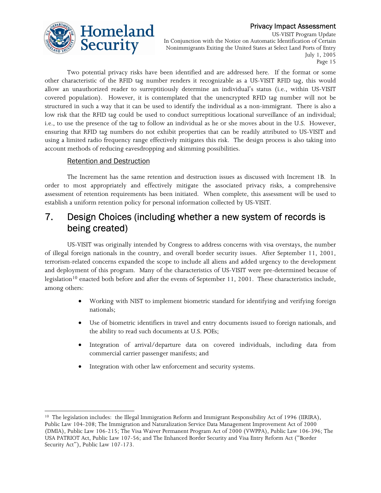

US-VISIT Program Update In Conjunction with the Notice on Automatic Identification of Certain Nonimmigrants Exiting the United States at Select Land Ports of Entry July 1, 2005 Page 15

 structured in such a way that it can be used to identify the individual as a non-immigrant. There is also a Two potential privacy risks have been identified and are addressed here. If the format or some other characteristic of the RFID tag number renders it recognizable as a US-VISIT RFID tag, this would allow an unauthorized reader to surreptitiously determine an individual's status (i.e., within US-VISIT covered population). However, it is contemplated that the unencrypted RFID tag number will not be low risk that the RFID tag could be used to conduct surreptitious locational surveillance of an individual; i.e., to use the presence of the tag to follow an individual as he or she moves about in the U.S. However, ensuring that RFID tag numbers do not exhibit properties that can be readily attributed to US-VISIT and using a limited radio frequency range effectively mitigates this risk. The design process is also taking into account methods of reducing eavesdropping and skimming possibilities.

## Retention and Destruction

The Increment has the same retention and destruction issues as discussed with Increment 1B. In order to most appropriately and effectively mitigate the associated privacy risks, a comprehensive assessment of retention requirements has been initiated. When complete, this assessment will be used to establish a uniform retention policy for personal information collected by US-VISIT.

# 7. Design Choices (including whether a new system of records is being created)

 and deployment of this program. Many of the characteristics of US-VISIT were pre-determined because of US-VISIT was originally intended by Congress to address concerns with visa overstays, the number of illegal foreign nationals in the country, and overall border security issues. After September 11, 2001, terrorism-related concerns expanded the scope to include all aliens and added urgency to the development legislation<sup>10</sup> enacted both before and after the events of September 11, 2001. These characteristics include, among others:

- Working with NIST to implement biometric standard for identifying and verifying foreign nationals;
- Use of biometric identifiers in travel and entry documents issued to foreign nationals, and the ability to read such documents at U.S. POEs;
- • Integration of arrival/departure data on covered individuals, including data from commercial carrier passenger manifests; and
- Integration with other law enforcement and security systems.

 $\overline{a}$ <sup>10</sup> The legislation includes: the Illegal Immigration Reform and Immigrant Responsibility Act of 1996 (IIRIRA), Public Law 104-208; The Immigration and Naturalization Service Data Management Improvement Act of 2000 (DMIA), Public Law 106-215; The Visa Waiver Permanent Program Act of 2000 (VWPPA), Public Law 106-396; The USA PATRIOT Act, Public Law 107-56; and The Enhanced Border Security and Visa Entry Reform Act ("Border Security Act"), Public Law 107-173.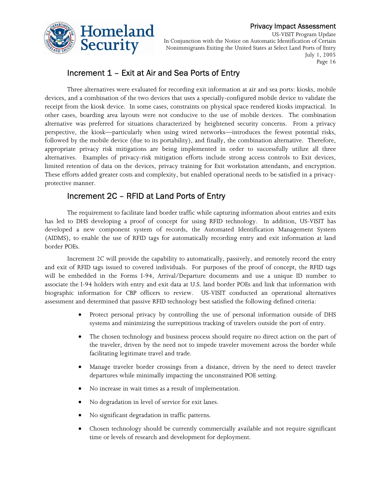

US-VISIT Program Update In Conjunction with the Notice on Automatic Identification of Certain Nonimmigrants Exiting the United States at Select Land Ports of Entry July 1, 2005 Page 16

## Increment 1 – Exit at Air and Sea Ports of Entry

Three alternatives were evaluated for recording exit information at air and sea ports: kiosks, mobile devices, and a combination of the two devices that uses a specially-configured mobile device to validate the receipt from the kiosk device. In some cases, constraints on physical space rendered kiosks impractical. In other cases, boarding area layouts were not conducive to the use of mobile devices. The combination alternative was preferred for situations characterized by heightened security concerns. From a privacy perspective, the kiosk—particularly when using wired networks—introduces the fewest potential risks, followed by the mobile device (due to its portability), and finally, the combination alternative. Therefore, appropriate privacy risk mitigations are being implemented in order to successfully utilize all three alternatives. Examples of privacy-risk mitigation efforts include strong access controls to Exit devices, limited retention of data on the devices, privacy training for Exit workstation attendants, and encryption. These efforts added greater costs and complexity, but enabled operational needs to be satisfied in a privacyprotective manner.

## Increment 2C – RFID at Land Ports of Entry

The requirement to facilitate land border traffic while capturing information about entries and exits has led to DHS developing a proof of concept for using RFID technology. In addition, US-VISIT has developed a new component system of records, the Automated Identification Management System (AIDMS), to enable the use of RFID tags for automatically recording entry and exit information at land border POEs.

Increment 2C will provide the capability to automatically, passively, and remotely record the entry and exit of RFID tags issued to covered individuals. For purposes of the proof of concept, the RFID tags will be embedded in the Forms I-94, Arrival/Departure documents and use a unique ID number to associate the I-94 holders with entry and exit data at U.S. land border POEs and link that information with biographic information for CBP officers to review. US-VISIT conducted an operational alternatives assessment and determined that passive RFID technology best satisfied the following defined criteria:

- Protect personal privacy by controlling the use of personal information outside of DHS systems and minimizing the surreptitious tracking of travelers outside the port of entry.
- The chosen technology and business process should require no direct action on the part of the traveler, driven by the need not to impede traveler movement across the border while facilitating legitimate travel and trade.
- Manage traveler border crossings from a distance, driven by the need to detect traveler departures while minimally impacting the unconstrained POE setting.
- No increase in wait times as a result of implementation.
- No degradation in level of service for exit lanes.
- No significant degradation in traffic patterns.
- Chosen technology should be currently commercially available and not require significant time or levels of research and development for deployment.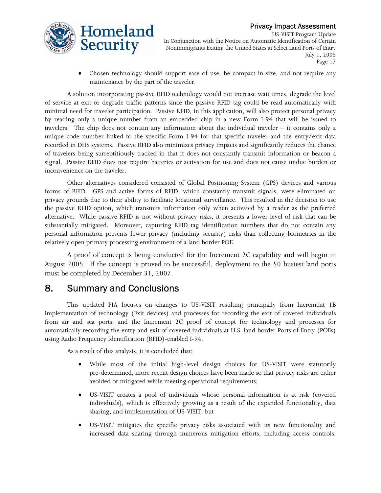

US-VISIT Program Update In Conjunction with the Notice on Automatic Identification of Certain Nonimmigrants Exiting the United States at Select Land Ports of Entry July 1, 2005 Page 17

Chosen technology should support ease of use, be compact in size, and not require any maintenance by the part of the traveler.

A solution incorporating passive RFID technology would not increase wait times, degrade the level of service at exit or degrade traffic patterns since the passive RFID tag could be read automatically with minimal need for traveler participation. Passive RFID, in this application, will also protect personal privacy by reading only a unique number from an embedded chip in a new Form I-94 that will be issued to travelers. The chip does not contain any information about the individual traveler – it contains only a unique code number linked to the specific Form I-94 for that specific traveler and the entry/exit data recorded in DHS systems. Passive RFID also minimizes privacy impacts and significantly reduces the chance of travelers being surreptitiously tracked in that it does not constantly transmit information or beacon a signal. Passive RFID does not require batteries or activation for use and does not cause undue burden or inconvenience on the traveler.

Other alternatives considered consisted of Global Positioning System (GPS) devices and various forms of RFID. GPS and active forms of RFID, which constantly transmit signals, were eliminated on privacy grounds due to their ability to facilitate locational surveillance. This resulted in the decision to use the passive RFID option, which transmits information only when activated by a reader as the preferred alternative. While passive RFID is not without privacy risks, it presents a lower level of risk that can be substantially mitigated. Moreover, capturing RFID tag identification numbers that do not contain any personal information presents fewer privacy (including security) risks than collecting biometrics in the relatively open primary processing environment of a land border POE.

A proof of concept is being conducted for the Increment 2C capability and will begin in August 2005. If the concept is proved to be successful, deployment to the 50 busiest land ports must be completed by December 31, 2007.

## 8. Summary and Conclusions

This updated PIA focuses on changes to US-VISIT resulting principally from Increment 1B implementation of technology (Exit devices) and processes for recording the exit of covered individuals from air and sea ports; and the Increment 2C proof of concept for technology and processes for automatically recording the entry and exit of covered individuals at U.S. land border Ports of Entry (POEs) using Radio Frequency Identification (RFID)-enabled I-94.

As a result of this analysis, it is concluded that:

- • While most of the initial high-level design choices for US-VISIT were statutorily pre-determined, more recent design choices have been made so that privacy risks are either avoided or mitigated while meeting operational requirements;
- • US-VISIT creates a pool of individuals whose personal information is at risk (covered individuals), which is effectively growing as a result of the expanded functionality, data sharing, and implementation of US-VISIT; but
- • US-VISIT mitigates the specific privacy risks associated with its new functionality and increased data sharing through numerous mitigation efforts, including access controls,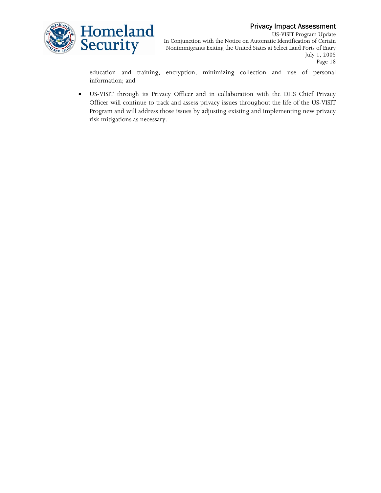

US-VISIT Program Update In Conjunction with the Notice on Automatic Identification of Certain Nonimmigrants Exiting the United States at Select Land Ports of Entry July 1, 2005 Page 18

 education and training, encryption, minimizing collection and use of personal information; and

• US-VISIT through its Privacy Officer and in collaboration with the DHS Chief Privacy Officer will continue to track and assess privacy issues throughout the life of the US-VISIT Program and will address those issues by adjusting existing and implementing new privacy risk mitigations as necessary.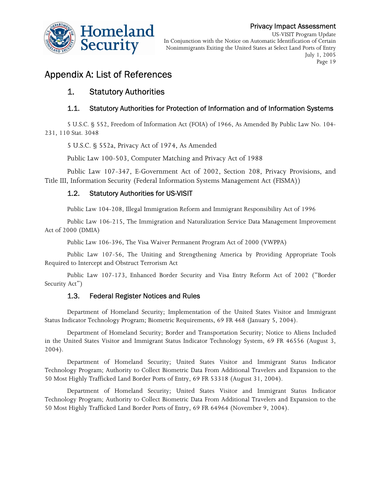

US-VISIT Program Update In Conjunction with the Notice on Automatic Identification of Certain Nonimmigrants Exiting the United States at Select Land Ports of Entry July 1, 2005 Page 19

# Appendix A: List of References

## 1. Statutory Authorities

## 1.1. Statutory Authorities for Protection of Information and of Information Systems

5 U.S.C. § 552, Freedom of Information Act (FOIA) of 1966, As Amended By Public Law No. 104- 231, 110 Stat. 3048

5 U.S.C. § 552a, Privacy Act of 1974, As Amended

Public Law 100-503, Computer Matching and Privacy Act of 1988

Public Law 107-347, E-Government Act of 2002, Section 208, Privacy Provisions, and Title III, Information Security (Federal Information Systems Management Act (FISMA))

## 1.2. Statutory Authorities for US-VISIT

Public Law 104-208, Illegal Immigration Reform and Immigrant Responsibility Act of 1996

Public Law 106-215, The Immigration and Naturalization Service Data Management Improvement Act of 2000 (DMIA)

Public Law 106-396, The Visa Waiver Permanent Program Act of 2000 (VWPPA)

Public Law 107-56, The Uniting and Strengthening America by Providing Appropriate Tools Required to Intercept and Obstruct Terrorism Act

Public Law 107-173, Enhanced Border Security and Visa Entry Reform Act of 2002 ("Border Security Act")

## 1.3. Federal Register Notices and Rules

Department of Homeland Security; Implementation of the United States Visitor and Immigrant Status Indicator Technology Program; Biometric Requirements, 69 FR 468 (January 5, 2004).

Department of Homeland Security; Border and Transportation Security; Notice to Aliens Included in the United States Visitor and Immigrant Status Indicator Technology System, 69 FR 46556 (August 3, 2004).

Department of Homeland Security; United States Visitor and Immigrant Status Indicator Technology Program; Authority to Collect Biometric Data From Additional Travelers and Expansion to the 50 Most Highly Trafficked Land Border Ports of Entry, 69 FR 53318 (August 31, 2004).

Department of Homeland Security; United States Visitor and Immigrant Status Indicator Technology Program; Authority to Collect Biometric Data From Additional Travelers and Expansion to the 50 Most Highly Trafficked Land Border Ports of Entry, 69 FR 64964 (November 9, 2004).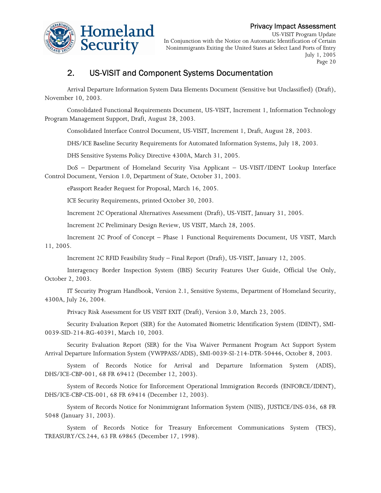

US-VISIT Program Update In Conjunction with the Notice on Automatic Identification of Certain Nonimmigrants Exiting the United States at Select Land Ports of Entry July 1, 2005 Page 20

## 2. US-VISIT and Component Systems Documentation

Arrival Departure Information System Data Elements Document (Sensitive but Unclassified) (Draft), November 10, 2003.

Consolidated Functional Requirements Document, US-VISIT, Increment 1, Information Technology Program Management Support, Draft, August 28, 2003.

Consolidated Interface Control Document, US-VISIT, Increment 1, Draft, August 28, 2003.

DHS/ICE Baseline Security Requirements for Automated Information Systems, July 18, 2003.

DHS Sensitive Systems Policy Directive 4300A, March 31, 2005.

DoS – Department of Homeland Security Visa Applicant – US-VISIT/IDENT Lookup Interface Control Document, Version 1.0, Department of State, October 31, 2003.

ePassport Reader Request for Proposal, March 16, 2005.

ICE Security Requirements, printed October 30, 2003.

Increment 2C Operational Alternatives Assessment (Draft), US-VISIT, January 31, 2005.

Increment 2C Preliminary Design Review, US VISIT, March 28, 2005.

Increment 2C Proof of Concept – Phase 1 Functional Requirements Document, US VISIT, March 11, 2005.

Increment 2C RFID Feasibility Study – Final Report (Draft), US-VISIT, January 12, 2005.

 Interagency Border Inspection System (IBIS) Security Features User Guide, Official Use Only, October 2, 2003.

IT Security Program Handbook, Version 2.1, Sensitive Systems, Department of Homeland Security, 4300A, July 26, 2004.

Privacy Risk Assessment for US VISIT EXIT (Draft), Version 3.0, March 23, 2005.

Security Evaluation Report (SER) for the Automated Biometric Identification System (IDENT), SMI-0039-SID-214-RG-40391, March 10, 2003.

Security Evaluation Report (SER) for the Visa Waiver Permanent Program Act Support System Arrival Departure Information System (VWPPASS/ADIS), SMI-0039-SI-214-DTR-50446, October 8, 2003.

System of Records Notice for Arrival and Departure Information System (ADIS), DHS/ICE-CBP-001, 68 FR 69412 (December 12, 2003).

System of Records Notice for Enforcement Operational Immigration Records (ENFORCE/IDENT), DHS/ICE-CBP-CIS-001, 68 FR 69414 (December 12, 2003).

System of Records Notice for Nonimmigrant Information System (NIIS), JUSTICE/INS-036, 68 FR 5048 (January 31, 2003).

System of Records Notice for Treasury Enforcement Communications System (TECS), TREASURY/CS.244, 63 FR 69865 (December 17, 1998).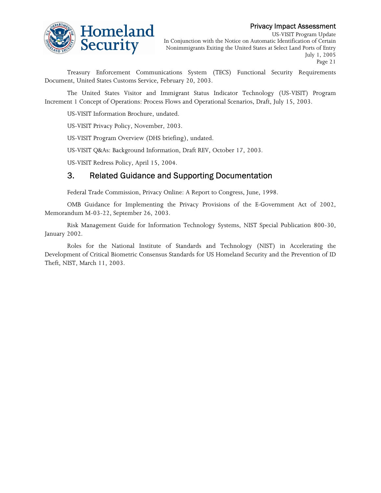# Homeland Security

#### Privacy Impact Assessment

US-VISIT Program Update In Conjunction with the Notice on Automatic Identification of Certain Nonimmigrants Exiting the United States at Select Land Ports of Entry July 1, 2005 Page 21

Treasury Enforcement Communications System (TECS) Functional Security Requirements Document, United States Customs Service, February 20, 2003.

The United States Visitor and Immigrant Status Indicator Technology (US-VISIT) Program Increment 1 Concept of Operations: Process Flows and Operational Scenarios, Draft, July 15, 2003.

US-VISIT Information Brochure, undated.

US-VISIT Privacy Policy, November, 2003.

US-VISIT Program Overview (DHS briefing), undated.

US-VISIT Q&As: Background Information, Draft REV, October 17, 2003.

US-VISIT Redress Policy, April 15, 2004.

## 3. Related Guidance and Supporting Documentation

Federal Trade Commission, Privacy Online: A Report to Congress, June, 1998.

OMB Guidance for Implementing the Privacy Provisions of the E-Government Act of 2002, Memorandum M-03-22, September 26, 2003.

Risk Management Guide for Information Technology Systems, NIST Special Publication 800-30, January 2002.

 Development of Critical Biometric Consensus Standards for US Homeland Security and the Prevention of ID Roles for the National Institute of Standards and Technology (NIST) in Accelerating the Theft, NIST, March 11, 2003.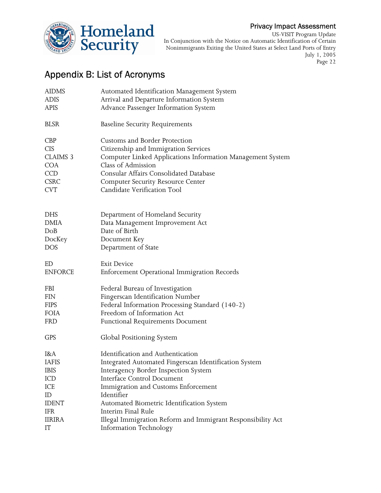

US-VISIT Program Update In Conjunction with the Notice on Automatic Identification of Certain Nonimmigrants Exiting the United States at Select Land Ports of Entry July 1, 2005 Page 22

# Appendix B: List of Acronyms

| <b>AIDMS</b>    | Automated Identification Management System                  |
|-----------------|-------------------------------------------------------------|
| ADIS            | Arrival and Departure Information System                    |
| <b>APIS</b>     | Advance Passenger Information System                        |
| <b>BLSR</b>     | <b>Baseline Security Requirements</b>                       |
| <b>CBP</b>      | Customs and Border Protection                               |
| <b>CIS</b>      | Citizenship and Immigration Services                        |
| <b>CLAIMS 3</b> | Computer Linked Applications Information Management System  |
| <b>COA</b>      | Class of Admission                                          |
| <b>CCD</b>      | Consular Affairs Consolidated Database                      |
| <b>CSRC</b>     | <b>Computer Security Resource Center</b>                    |
| <b>CVT</b>      | Candidate Verification Tool                                 |
|                 |                                                             |
| <b>DHS</b>      | Department of Homeland Security                             |
| DMIA            | Data Management Improvement Act                             |
| DoB             | Date of Birth                                               |
| DocKey          | Document Key                                                |
| <b>DOS</b>      | Department of State                                         |
| ED              | <b>Exit Device</b>                                          |
| <b>ENFORCE</b>  | Enforcement Operational Immigration Records                 |
| FBI             | Federal Bureau of Investigation                             |
| FIN             | Fingerscan Identification Number                            |
| <b>FIPS</b>     | Federal Information Processing Standard (140-2)             |
| FOIA            | Freedom of Information Act                                  |
| <b>FRD</b>      | <b>Functional Requirements Document</b>                     |
| <b>GPS</b>      | Global Positioning System                                   |
| I&A             | Identification and Authentication                           |
| <b>IAFIS</b>    | Integrated Automated Fingerscan Identification System       |
| IBIS            | Interagency Border Inspection System                        |
| ICD             | Interface Control Document                                  |
| ICE             | Immigration and Customs Enforcement                         |
| ID              | Identifier                                                  |
| <b>IDENT</b>    | Automated Biometric Identification System                   |
| IFR             | Interim Final Rule                                          |
| <b>IIRIRA</b>   | Illegal Immigration Reform and Immigrant Responsibility Act |
| IT              | Information Technology                                      |
|                 |                                                             |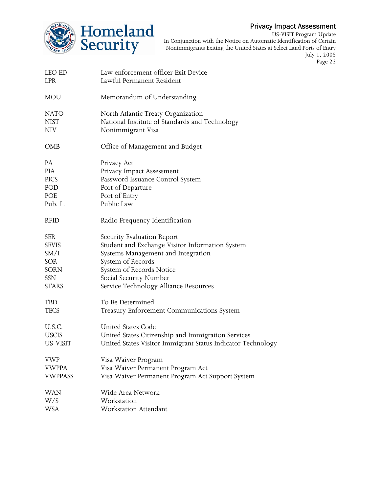

US-VISIT Program Update In Conjunction with the Notice on Automatic Identification of Certain Nonimmigrants Exiting the United States at Select Land Ports of Entry July 1, 2005 Page 23

| LEO ED<br>LPR  | Law enforcement officer Exit Device<br>Lawful Permanent Resident |
|----------------|------------------------------------------------------------------|
| MOU            | Memorandum of Understanding                                      |
| NATO           | North Atlantic Treaty Organization                               |
| NIST           | National Institute of Standards and Technology                   |
| NIV            | Nonimmigrant Visa                                                |
| OMB            | Office of Management and Budget                                  |
| PA             | Privacy Act                                                      |
| PIA            | Privacy Impact Assessment                                        |
| <b>PICS</b>    | Password Issuance Control System                                 |
| POD            | Port of Departure                                                |
| POE            | Port of Entry                                                    |
| Pub. L.        | Public Law                                                       |
| <b>RFID</b>    | Radio Frequency Identification                                   |
| SER            | Security Evaluation Report                                       |
| <b>SEVIS</b>   | Student and Exchange Visitor Information System                  |
| SM/I           | Systems Management and Integration                               |
| SOR            | System of Records                                                |
| SORN           | System of Records Notice                                         |
| SSN            | Social Security Number                                           |
| STARS          | Service Technology Alliance Resources                            |
| TBD            | To Be Determined                                                 |
| TECS           | Treasury Enforcement Communications System                       |
| U.S.C.         | <b>United States Code</b>                                        |
| <b>USCIS</b>   | United States Citizenship and Immigration Services               |
| US-VISIT       | United States Visitor Immigrant Status Indicator Technology      |
| <b>VWP</b>     | Visa Waiver Program                                              |
| <b>VWPPA</b>   | Visa Waiver Permanent Program Act                                |
| <b>VWPPASS</b> | Visa Waiver Permanent Program Act Support System                 |
| WAN            | Wide Area Network                                                |
| W/S            | Workstation                                                      |
| WSA            | Workstation Attendant                                            |
|                |                                                                  |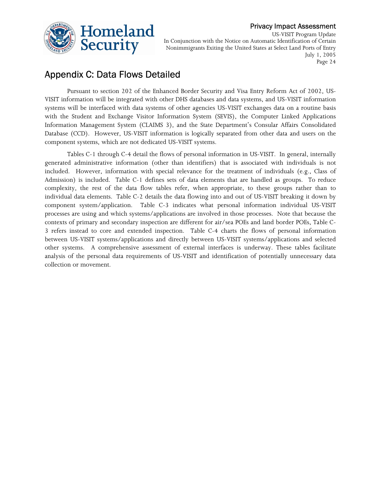

US-VISIT Program Update In Conjunction with the Notice on Automatic Identification of Certain Nonimmigrants Exiting the United States at Select Land Ports of Entry July 1, 2005 Page 24

# Appendix C: Data Flows Detailed

Pursuant to section 202 of the Enhanced Border Security and Visa Entry Reform Act of 2002, US-VISIT information will be integrated with other DHS databases and data systems, and US-VISIT information systems will be interfaced with data systems of other agencies US-VISIT exchanges data on a routine basis with the Student and Exchange Visitor Information System (SEVIS), the Computer Linked Applications Information Management System (CLAIMS 3), and the State Department's Consular Affairs Consolidated Database (CCD). However, US-VISIT information is logically separated from other data and users on the component systems, which are not dedicated US-VISIT systems.

 individual data elements. Table C-2 details the data flowing into and out of US-VISIT breaking it down by 3 refers instead to core and extended inspection. Table C-4 charts the flows of personal information Tables C-1 through C-4 detail the flows of personal information in US-VISIT. In general, internally generated administrative information (other than identifiers) that is associated with individuals is not included. However, information with special relevance for the treatment of individuals (e.g., Class of Admission) is included. Table C-1 defines sets of data elements that are handled as groups. To reduce complexity, the rest of the data flow tables refer, when appropriate, to these groups rather than to component system/application. Table C-3 indicates what personal information individual US-VISIT processes are using and which systems/applications are involved in those processes. Note that because the contexts of primary and secondary inspection are different for air/sea POEs and land border POEs, Table Cbetween US-VISIT systems/applications and directly between US-VISIT systems/applications and selected other systems. A comprehensive assessment of external interfaces is underway. These tables facilitate analysis of the personal data requirements of US-VISIT and identification of potentially unnecessary data collection or movement.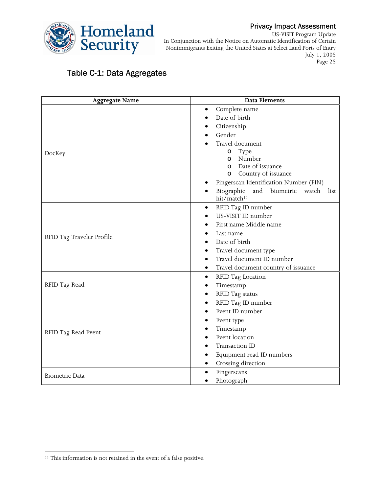

US-VISIT Program Update In Conjunction with the Notice on Automatic Identification of Certain Nonimmigrants Exiting the United States at Select Land Ports of Entry July 1, 2005 Page 25

# Table C-1: Data Aggregates

| <b>Aggregate Name</b>     | <b>Data Elements</b>                                                       |  |  |  |  |
|---------------------------|----------------------------------------------------------------------------|--|--|--|--|
|                           | Complete name                                                              |  |  |  |  |
|                           | Date of birth                                                              |  |  |  |  |
|                           | Citizenship                                                                |  |  |  |  |
|                           | Gender                                                                     |  |  |  |  |
|                           | Travel document                                                            |  |  |  |  |
| DocKey                    | Type<br>$\circ$                                                            |  |  |  |  |
|                           | Number<br>O                                                                |  |  |  |  |
|                           | Date of issuance<br>$\circ$                                                |  |  |  |  |
|                           | Country of issuance<br>$\circ$                                             |  |  |  |  |
|                           | Fingerscan Identification Number (FIN)                                     |  |  |  |  |
|                           | and<br>biometric<br>Biographic<br>watch<br>list<br>hit/match <sup>11</sup> |  |  |  |  |
|                           | RFID Tag ID number<br>$\bullet$                                            |  |  |  |  |
|                           | US-VISIT ID number                                                         |  |  |  |  |
|                           | First name Middle name                                                     |  |  |  |  |
| RFID Tag Traveler Profile | Last name                                                                  |  |  |  |  |
|                           | Date of birth<br>$\bullet$                                                 |  |  |  |  |
|                           | Travel document type<br>$\bullet$                                          |  |  |  |  |
|                           | Travel document ID number                                                  |  |  |  |  |
|                           | Travel document country of issuance<br>$\bullet$                           |  |  |  |  |
|                           | RFID Tag Location<br>$\bullet$                                             |  |  |  |  |
| RFID Tag Read             | Timestamp                                                                  |  |  |  |  |
|                           | RFID Tag status<br>٠                                                       |  |  |  |  |
|                           | RFID Tag ID number<br>$\bullet$                                            |  |  |  |  |
|                           | Event ID number                                                            |  |  |  |  |
|                           | Event type                                                                 |  |  |  |  |
| RFID Tag Read Event       | Timestamp                                                                  |  |  |  |  |
|                           | Event location                                                             |  |  |  |  |
|                           | Transaction ID                                                             |  |  |  |  |
|                           | Equipment read ID numbers                                                  |  |  |  |  |
|                           | Crossing direction<br>$\bullet$                                            |  |  |  |  |
| <b>Biometric Data</b>     | Fingerscans<br>٠                                                           |  |  |  |  |
|                           | Photograph                                                                 |  |  |  |  |

 $\overline{a}$ 

<sup>&</sup>lt;sup>11</sup> This information is not retained in the event of a false positive.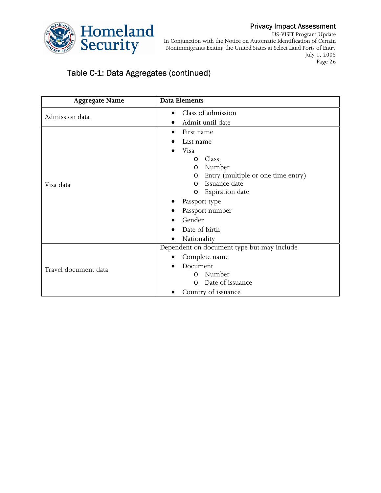

US-VISIT Program Update In Conjunction with the Notice on Automatic Identification of Certain Nonimmigrants Exiting the United States at Select Land Ports of Entry July 1, 2005 Page 26

# Table C-1: Data Aggregates (continued)

| <b>Aggregate Name</b> | <b>Data Elements</b>                          |  |  |  |
|-----------------------|-----------------------------------------------|--|--|--|
| Admission data        | Class of admission                            |  |  |  |
|                       | Admit until date                              |  |  |  |
|                       | First name                                    |  |  |  |
|                       | Last name                                     |  |  |  |
|                       | Visa                                          |  |  |  |
|                       | Class<br>$\circ$                              |  |  |  |
|                       | Number<br>$\circ$                             |  |  |  |
|                       | Entry (multiple or one time entry)<br>$\circ$ |  |  |  |
| Visa data             | Issuance date<br>$\circ$                      |  |  |  |
|                       | Expiration date<br>O                          |  |  |  |
|                       | Passport type                                 |  |  |  |
|                       | Passport number<br>$\bullet$                  |  |  |  |
|                       | Gender                                        |  |  |  |
|                       | Date of birth                                 |  |  |  |
|                       | Nationality                                   |  |  |  |
|                       | Dependent on document type but may include    |  |  |  |
|                       | Complete name                                 |  |  |  |
| Travel document data  | Document                                      |  |  |  |
|                       | Number<br>$\circ$                             |  |  |  |
|                       | Date of issuance<br>$\Omega$                  |  |  |  |
|                       | Country of issuance                           |  |  |  |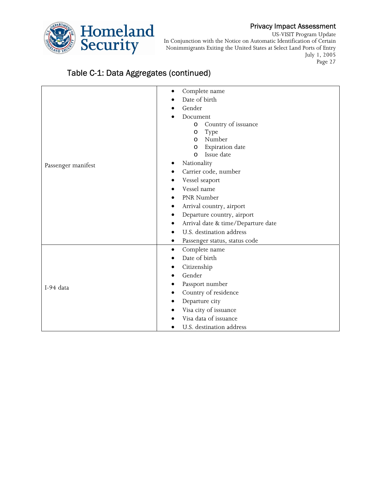

US-VISIT Program Update In Conjunction with the Notice on Automatic Identification of Certain Nonimmigrants Exiting the United States at Select Land Ports of Entry July 1, 2005

Page 27

## Table C-1: Data Aggregates (continued)

|                    | Complete name<br>٠                 |  |  |  |  |  |
|--------------------|------------------------------------|--|--|--|--|--|
|                    | Date of birth                      |  |  |  |  |  |
|                    | Gender                             |  |  |  |  |  |
|                    | Document                           |  |  |  |  |  |
|                    | Country of issuance<br>$\circ$     |  |  |  |  |  |
|                    | Type<br>$\circ$                    |  |  |  |  |  |
|                    | Number<br>$\circ$                  |  |  |  |  |  |
|                    | Expiration date<br>O               |  |  |  |  |  |
|                    | Issue date<br>$\circ$              |  |  |  |  |  |
| Passenger manifest | Nationality                        |  |  |  |  |  |
|                    | Carrier code, number               |  |  |  |  |  |
|                    | Vessel seaport                     |  |  |  |  |  |
|                    | Vessel name                        |  |  |  |  |  |
|                    | PNR Number<br>٠                    |  |  |  |  |  |
|                    | Arrival country, airport<br>٠      |  |  |  |  |  |
|                    | Departure country, airport         |  |  |  |  |  |
|                    | Arrival date & time/Departure date |  |  |  |  |  |
|                    | U.S. destination address<br>٠      |  |  |  |  |  |
|                    | Passenger status, status code      |  |  |  |  |  |
|                    | Complete name<br>$\bullet$         |  |  |  |  |  |
|                    | Date of birth<br>$\bullet$         |  |  |  |  |  |
|                    | Citizenship                        |  |  |  |  |  |
|                    | Gender                             |  |  |  |  |  |
|                    | Passport number                    |  |  |  |  |  |
| I-94 data          | Country of residence               |  |  |  |  |  |
|                    | Departure city<br>٠                |  |  |  |  |  |
|                    | Visa city of issuance              |  |  |  |  |  |
|                    | Visa data of issuance              |  |  |  |  |  |
|                    | U.S. destination address           |  |  |  |  |  |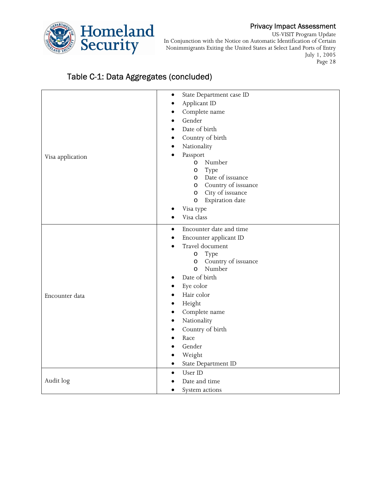

US-VISIT Program Update In Conjunction with the Notice on Automatic Identification of Certain Nonimmigrants Exiting the United States at Select Land Ports of Entry July 1, 2005 Page 28

# Table C-1: Data Aggregates (concluded)

| Visa application | State Department case ID<br>$\bullet$<br>Applicant ID<br>$\bullet$<br>Complete name<br>٠<br>Gender<br>$\bullet$<br>Date of birth<br>$\bullet$<br>Country of birth<br>٠<br>Nationality<br>٠<br>Passport<br>Number<br>$\circ$<br>Type<br>$\circ$<br>o Date of issuance<br>o Country of issuance<br>City of issuance<br>$\circ$<br>Expiration date<br>$\circ$<br>Visa type<br>Visa class<br>$\bullet$                                        |
|------------------|-------------------------------------------------------------------------------------------------------------------------------------------------------------------------------------------------------------------------------------------------------------------------------------------------------------------------------------------------------------------------------------------------------------------------------------------|
| Encounter data   | Encounter date and time<br>$\bullet$<br>Encounter applicant ID<br>$\bullet$<br>Travel document<br>Type<br>$\circ$<br>o Country of issuance<br>Number<br>$\circ$<br>Date of birth<br>$\bullet$<br>Eye color<br>Hair color<br>$\bullet$<br>Height<br>٠<br>Complete name<br>$\bullet$<br>Nationality<br>$\bullet$<br>Country of birth<br>$\bullet$<br>Race<br>$\bullet$<br>Gender<br>$\bullet$<br>Weight<br>State Department ID<br>$\bullet$ |
| Audit log        | User ID<br>$\bullet$<br>Date and time<br>System actions<br>$\bullet$                                                                                                                                                                                                                                                                                                                                                                      |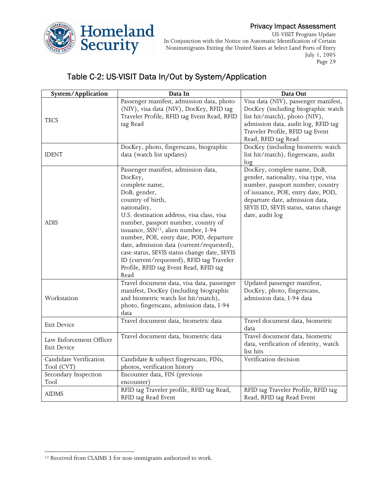

US-VISIT Program Update In Conjunction with the Notice on Automatic Identification of Certain Nonimmigrants Exiting the United States at Select Land Ports of Entry July 1, 2005 Page 29

# Table C-2: US-VISIT Data In/Out by System/Application

| System/Application                            | Data In                                                                                                                                                                                                                                                                                                                                                                                                                                                                                               | Data Out                                                                                                                                                                                                                                     |
|-----------------------------------------------|-------------------------------------------------------------------------------------------------------------------------------------------------------------------------------------------------------------------------------------------------------------------------------------------------------------------------------------------------------------------------------------------------------------------------------------------------------------------------------------------------------|----------------------------------------------------------------------------------------------------------------------------------------------------------------------------------------------------------------------------------------------|
| <b>TECS</b>                                   | Passenger manifest, admission data, photo<br>(NIV), visa data (NIV), DocKey, RFID tag<br>Traveler Profile, RFID tag Event Read, RFID<br>tag Read                                                                                                                                                                                                                                                                                                                                                      | Visa data (NIV), passenger manifest,<br>DocKey (including biographic watch<br>list hit/match), photo (NIV),<br>admission data, audit log, RFID tag<br>Traveler Profile, RFID tag Event<br>Read, RFID tag Read                                |
| <b>IDENT</b>                                  | DocKey, photo, fingerscans, biographic<br>data (watch list updates)                                                                                                                                                                                                                                                                                                                                                                                                                                   | DocKey (including biometric watch<br>list hit/match), fingerscans, audit<br>log                                                                                                                                                              |
| <b>ADIS</b>                                   | Passenger manifest, admission data,<br>DocKey,<br>complete name,<br>DoB, gender,<br>country of birth,<br>nationality,<br>U.S. destination address, visa class, visa<br>number, passport number, country of<br>issuance, SSN <sup>12</sup> , alien number, I-94<br>number, POE, entry date, POD, departure<br>date, admission data (current/requested),<br>case status, SEVIS status change date, SEVIS<br>ID (current/requested), RFID tag Traveler<br>Profile, RFID tag Event Read, RFID tag<br>Read | DocKey, complete name, DoB,<br>gender, nationality, visa type, visa<br>number, passport number, country<br>of issuance, POE, entry date, POD,<br>departure date, admission data,<br>SEVIS ID, SEVIS status, status change<br>date, audit log |
| Workstation                                   | Travel document data, visa data, passenger<br>manifest, DocKey (including biographic<br>and biometric watch list hit/match),<br>photo, fingerscans, admission data, I-94<br>data                                                                                                                                                                                                                                                                                                                      | Updated passenger manifest,<br>DocKey, photo, fingerscans,<br>admission data, I-94 data                                                                                                                                                      |
| <b>Exit Device</b>                            | Travel document data, biometric data                                                                                                                                                                                                                                                                                                                                                                                                                                                                  | Travel document data, biometric<br>data                                                                                                                                                                                                      |
| Law Enforcement Officer<br><b>Exit Device</b> | Travel document data, biometric data                                                                                                                                                                                                                                                                                                                                                                                                                                                                  | Travel document data, biometric<br>data, verification of identity, watch<br>list hits                                                                                                                                                        |
| Candidate Verification<br>Tool (CVT)          | Candidate & subject fingerscans, FINs,<br>photos, verification history                                                                                                                                                                                                                                                                                                                                                                                                                                | Verification decision                                                                                                                                                                                                                        |
| Secondary Inspection<br>Tool                  | Encounter data, FIN (previous<br>encounter)                                                                                                                                                                                                                                                                                                                                                                                                                                                           |                                                                                                                                                                                                                                              |
| <b>AIDMS</b>                                  | RFID tag Traveler profile, RFID tag Read,<br>RFID tag Read Event                                                                                                                                                                                                                                                                                                                                                                                                                                      | RFID tag Traveler Profile, RFID tag<br>Read, RFID tag Read Event                                                                                                                                                                             |

 $\overline{a}$ <sup>12</sup> Received from CLAIMS 3 for non-immigrants authorized to work.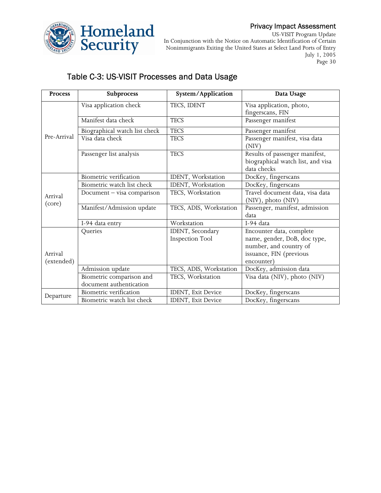

US-VISIT Program Update In Conjunction with the Notice on Automatic Identification of Certain Nonimmigrants Exiting the United States at Select Land Ports of Entry July 1, 2005 Page 30

## Table C-3: US-VISIT Processes and Data Usage

| <b>Process</b> | Subprocess                    | System/Application      | Data Usage                                                                                                                                                                                                                                                                                                                              |  |
|----------------|-------------------------------|-------------------------|-----------------------------------------------------------------------------------------------------------------------------------------------------------------------------------------------------------------------------------------------------------------------------------------------------------------------------------------|--|
|                | Visa application check        | TECS, IDENT             | Visa application, photo,                                                                                                                                                                                                                                                                                                                |  |
|                |                               |                         |                                                                                                                                                                                                                                                                                                                                         |  |
|                | Manifest data check           | <b>TECS</b>             |                                                                                                                                                                                                                                                                                                                                         |  |
|                | Biographical watch list check | <b>TECS</b>             | Passenger manifest                                                                                                                                                                                                                                                                                                                      |  |
| Pre-Arrival    | Visa data check               | <b>TECS</b>             | Passenger manifest, visa data<br>(NIV)                                                                                                                                                                                                                                                                                                  |  |
|                | Passenger list analysis       | <b>TECS</b>             | Results of passenger manifest,<br>biographical watch list, and visa<br>data checks                                                                                                                                                                                                                                                      |  |
|                | Biometric verification        | IDENT, Workstation      |                                                                                                                                                                                                                                                                                                                                         |  |
|                | Biometric watch list check    | IDENT, Workstation      | DocKey, fingerscans                                                                                                                                                                                                                                                                                                                     |  |
| Arrival        | Document - visa comparison    | TECS, Workstation       | Travel document data, visa data                                                                                                                                                                                                                                                                                                         |  |
| (core)         | Manifest/Admission update     | TECS, ADIS, Workstation | Passenger, manifest, admission<br>data                                                                                                                                                                                                                                                                                                  |  |
|                | I-94 data entry               | Workstation             | fingerscans, FIN<br>Passenger manifest<br>DocKey, fingerscans<br>(NIV), photo (NIV)<br>I-94 data<br>Encounter data, complete<br>name, gender, DoB, doc type,<br>number, and country of<br>issuance, FIN (previous<br>encounter)<br>DocKey, admission data<br>Visa data (NIV), photo (NIV)<br>DocKey, fingerscans<br>DocKey, fingerscans |  |
|                | Queries                       | IDENT, Secondary        |                                                                                                                                                                                                                                                                                                                                         |  |
|                |                               | <b>Inspection Tool</b>  |                                                                                                                                                                                                                                                                                                                                         |  |
|                |                               |                         |                                                                                                                                                                                                                                                                                                                                         |  |
| Arrival        |                               |                         |                                                                                                                                                                                                                                                                                                                                         |  |
| (extended)     |                               |                         |                                                                                                                                                                                                                                                                                                                                         |  |
|                | Admission update              | TECS, ADIS, Workstation |                                                                                                                                                                                                                                                                                                                                         |  |
|                | Biometric comparison and      | TECS, Workstation       |                                                                                                                                                                                                                                                                                                                                         |  |
|                | document authentication       |                         |                                                                                                                                                                                                                                                                                                                                         |  |
|                | Biometric verification        | IDENT, Exit Device      |                                                                                                                                                                                                                                                                                                                                         |  |
| Departure      | Biometric watch list check    | IDENT, Exit Device      |                                                                                                                                                                                                                                                                                                                                         |  |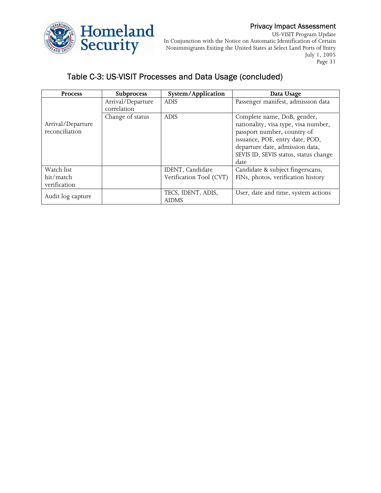

US-VISIT Program Update In Conjunction with the Notice on Automatic Identification of Certain Nonimmigrants Exiting the United States at Select Land Ports of Entry July 1, 2005 Page 31

# Table C-3: US-VISIT Processes and Data Usage (concluded)

| <b>Process</b>    | <b>Subprocess</b> | System/Application      | Data Usage                            |
|-------------------|-------------------|-------------------------|---------------------------------------|
|                   | Arrival/Departure | <b>ADIS</b>             | Passenger manifest, admission data    |
|                   | correlation       |                         |                                       |
|                   | Change of status  | <b>ADIS</b>             | Complete name, DoB, gender,           |
| Arrival/Departure |                   |                         | nationality, visa type, visa number,  |
| reconciliation    |                   |                         | passport number, country of           |
|                   |                   |                         | issuance, POE, entry date, POD,       |
|                   |                   |                         | departure date, admission data,       |
|                   |                   |                         | SEVIS ID, SEVIS status, status change |
|                   |                   |                         | date                                  |
| Watch list        |                   | IDENT, Candidate        | Candidate & subject fingerscans,      |
| hit/match         |                   | Verification Tool (CVT) | FINs, photos, verification history    |
| verification      |                   |                         |                                       |
| Audit log capture |                   | TECS, IDENT, ADIS,      | User, date and time, system actions   |
|                   |                   | <b>AIDMS</b>            |                                       |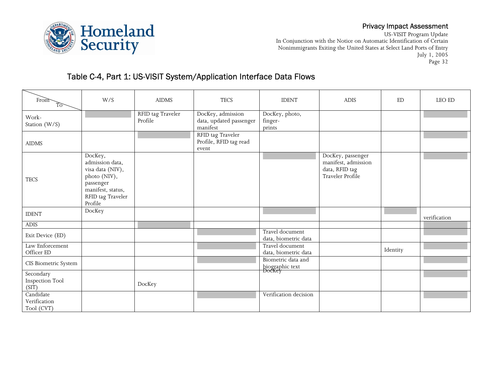



US-VISIT Program Update In Conjunction with the Notice on Automatic Identification of Certain Nonimmigrants Exiting the United States at Select Land Ports of Entry July 1, 2005 Page 32

# Table C-4, Part 1: US-VISIT System/Application Interface Data Flows

| From<br>ট্য                                  | W/S                                                                                                                              | <b>AIDMS</b>                 | <b>TECS</b>                                              | <b>IDENT</b>                                    | <b>ADIS</b>                                                                    | ED       | LEO ED       |
|----------------------------------------------|----------------------------------------------------------------------------------------------------------------------------------|------------------------------|----------------------------------------------------------|-------------------------------------------------|--------------------------------------------------------------------------------|----------|--------------|
| Work-<br>Station (W/S)                       |                                                                                                                                  | RFID tag Traveler<br>Profile | DocKey, admission<br>data, updated passenger<br>manifest | DocKey, photo,<br>finger-<br>prints             |                                                                                |          |              |
| <b>AIDMS</b>                                 |                                                                                                                                  |                              | RFID tag Traveler<br>Profile, RFID tag read<br>event     |                                                 |                                                                                |          |              |
| <b>TECS</b>                                  | DocKey,<br>admission data,<br>visa data (NIV),<br>photo (NIV),<br>passenger<br>manifest, status,<br>RFID tag Traveler<br>Profile |                              |                                                          |                                                 | DocKey, passenger<br>manifest, admission<br>data, RFID tag<br>Traveler Profile |          |              |
| <b>IDENT</b>                                 | DocKey                                                                                                                           |                              |                                                          |                                                 |                                                                                |          | verification |
| $\boldsymbol{\mathrm{ADIS}}$                 |                                                                                                                                  |                              |                                                          |                                                 |                                                                                |          |              |
| Exit Device (ED)                             |                                                                                                                                  |                              |                                                          | Travel document<br>data, biometric data         |                                                                                |          |              |
| Law Enforcement<br>Officer ED                |                                                                                                                                  |                              |                                                          | Travel document<br>data, biometric data         |                                                                                | Identity |              |
| CIS Biometric System                         |                                                                                                                                  |                              |                                                          | Biometric data and<br>biographic text<br>DocKey |                                                                                |          |              |
| Secondary<br><b>Inspection Tool</b><br>(SIT) |                                                                                                                                  | DocKey                       |                                                          |                                                 |                                                                                |          |              |
| Candidate<br>Verification<br>Tool (CVT)      |                                                                                                                                  |                              |                                                          | Verification decision                           |                                                                                |          |              |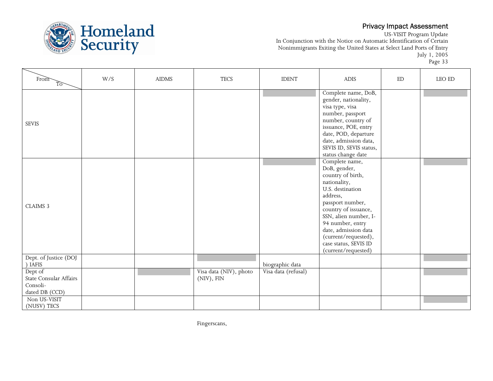

US-VISIT Program Update In Conjunction with the Notice on Automatic Identification of Certain Nonimmigrants Exiting the United States at Select Land Ports of Entry July 1, 2005 Page 33

| From<br>To                                                      | W/S | <b>AIDMS</b> | <b>TECS</b>                          | <b>IDENT</b>        | <b>ADIS</b>                                                                                                                                                                                                                                                                                  | ED | ${\rm LEO}$ ED |
|-----------------------------------------------------------------|-----|--------------|--------------------------------------|---------------------|----------------------------------------------------------------------------------------------------------------------------------------------------------------------------------------------------------------------------------------------------------------------------------------------|----|----------------|
| <b>SEVIS</b>                                                    |     |              |                                      |                     | Complete name, DoB,<br>gender, nationality,<br>visa type, visa<br>number, passport<br>number, country of<br>issuance, POE, entry<br>date, POD, departure<br>date, admission data,<br>SEVIS ID, SEVIS status,<br>status change date                                                           |    |                |
| CLAIMS 3                                                        |     |              |                                      |                     | Complete name,<br>DoB, gender,<br>country of birth,<br>nationality,<br>U.S. destination<br>address,<br>passport number,<br>country of issuance,<br>SSN, alien number, I-<br>94 number, entry<br>date, admission data<br>(current/requested),<br>case status, SEVIS ID<br>(current/requested) |    |                |
| Dept. of Justice (DOJ<br>) IAFIS                                |     |              |                                      | biographic data     |                                                                                                                                                                                                                                                                                              |    |                |
| Dept of<br>State Consular Affairs<br>Consoli-<br>dated DB (CCD) |     |              | Visa data (NIV), photo<br>(NIV), FIN | Visa data (refusal) |                                                                                                                                                                                                                                                                                              |    |                |
| Non US-VISIT<br>(NUSV) TECS                                     |     |              |                                      |                     |                                                                                                                                                                                                                                                                                              |    |                |

Fingerscans,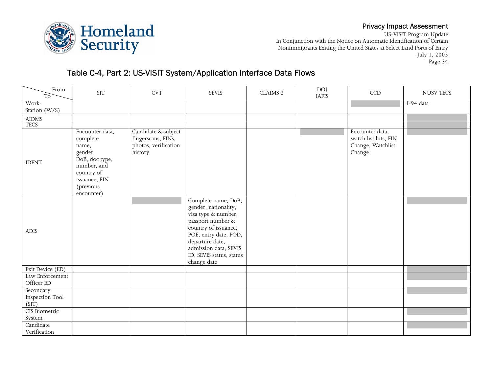



US-VISIT Program Update In Conjunction with the Notice on Automatic Identification of Certain Nonimmigrants Exiting the United States at Select Land Ports of Entry July 1, 2005 Page 34

# Table C-4, Part 2: US-VISIT System/Application Interface Data Flows

| From<br>T <sub>o</sub>                       | <b>SIT</b>                                                                                                                                 | $\ensuremath{\mathrm{CVT}}$                                                  | <b>SEVIS</b>                                                                                                                                                                                                                    | CLAIMS 3 | DOJ<br><b>IAFIS</b> | $\mathop{\rm CCD}\nolimits$                                            | <b>NUSV TECS</b> |
|----------------------------------------------|--------------------------------------------------------------------------------------------------------------------------------------------|------------------------------------------------------------------------------|---------------------------------------------------------------------------------------------------------------------------------------------------------------------------------------------------------------------------------|----------|---------------------|------------------------------------------------------------------------|------------------|
| Work-<br>Station (W/S)                       |                                                                                                                                            |                                                                              |                                                                                                                                                                                                                                 |          |                     |                                                                        | I-94 data        |
|                                              |                                                                                                                                            |                                                                              |                                                                                                                                                                                                                                 |          |                     |                                                                        |                  |
| AIDMS<br>TECS                                |                                                                                                                                            |                                                                              |                                                                                                                                                                                                                                 |          |                     |                                                                        |                  |
| <b>IDENT</b>                                 | Encounter data,<br>complete<br>name,<br>gender,<br>DoB, doc type,<br>number, and<br>country of<br>issuance, FIN<br>(previous<br>encounter) | Candidate & subject<br>fingerscans, FINs,<br>photos, verification<br>history |                                                                                                                                                                                                                                 |          |                     | Encounter data,<br>watch list hits, FIN<br>Change, Watchlist<br>Change |                  |
| ADIS                                         |                                                                                                                                            |                                                                              | Complete name, DoB,<br>gender, nationality,<br>visa type & number,<br>passport number &<br>country of issuance,<br>POE, entry date, POD,<br>departure date,<br>admission data, SEVIS<br>ID, SEVIS status, status<br>change date |          |                     |                                                                        |                  |
| Exit Device (ED)                             |                                                                                                                                            |                                                                              |                                                                                                                                                                                                                                 |          |                     |                                                                        |                  |
| Law Enforcement<br>Officer ${\rm ED}$        |                                                                                                                                            |                                                                              |                                                                                                                                                                                                                                 |          |                     |                                                                        |                  |
| Secondary<br><b>Inspection Tool</b><br>(SIT) |                                                                                                                                            |                                                                              |                                                                                                                                                                                                                                 |          |                     |                                                                        |                  |
| <b>CIS Biometric</b><br>System               |                                                                                                                                            |                                                                              |                                                                                                                                                                                                                                 |          |                     |                                                                        |                  |
| Candidate<br>Verification                    |                                                                                                                                            |                                                                              |                                                                                                                                                                                                                                 |          |                     |                                                                        |                  |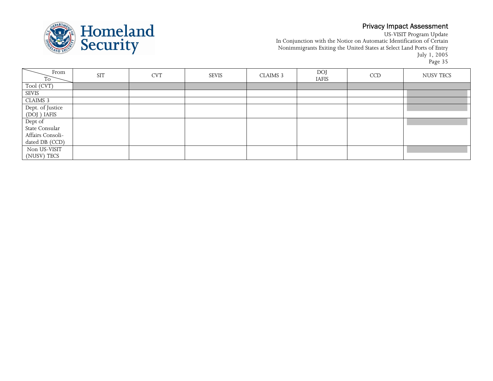

US-VISIT Program Update In Conjunction with the Notice on Automatic Identification of Certain Nonimmigrants Exiting the United States at Select Land Ports of Entry July 1, 2005 Page 35

| From<br>To <sup>-</sup>          | <b>SIT</b> | <b>CVT</b> | <b>SEVIS</b> | CLAIMS <sub>3</sub> | <b>DOJ</b><br><b>IAFIS</b> | <b>CCD</b> | NUSV TECS |
|----------------------------------|------------|------------|--------------|---------------------|----------------------------|------------|-----------|
| Tool (CVT)                       |            |            |              |                     |                            |            |           |
| SEVIS                            |            |            |              |                     |                            |            |           |
| CLAIMS 3                         |            |            |              |                     |                            |            |           |
| Dept. of Justice<br>(DOJ ) IAFIS |            |            |              |                     |                            |            |           |
|                                  |            |            |              |                     |                            |            |           |
| Dept of<br>State Consular        |            |            |              |                     |                            |            |           |
|                                  |            |            |              |                     |                            |            |           |
| Affairs Consoli-                 |            |            |              |                     |                            |            |           |
| dated DB (CCD)                   |            |            |              |                     |                            |            |           |
| Non US-VISIT                     |            |            |              |                     |                            |            |           |
| (NUSV) TECS                      |            |            |              |                     |                            |            |           |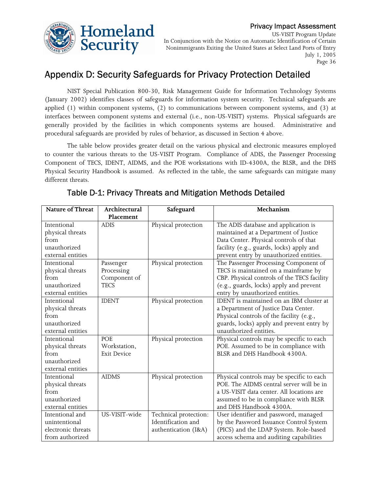

US-VISIT Program Update In Conjunction with the Notice on Automatic Identification of Certain Nonimmigrants Exiting the United States at Select Land Ports of Entry July 1, 2005 Page 36

# Appendix D: Security Safeguards for Privacy Protection Detailed

 NIST Special Publication 800-30, Risk Management Guide for Information Technology Systems (January 2002) identifies classes of safeguards for information system security. Technical safeguards are applied (1) within component systems, (2) to communications between component systems, and (3) at interfaces between component systems and external (i.e., non-US-VISIT) systems. Physical safeguards are generally provided by the facilities in which components systems are housed. Administrative and procedural safeguards are provided by rules of behavior, as discussed in Section 4 above.

The table below provides greater detail on the various physical and electronic measures employed to counter the various threats to the US-VISIT Program. Compliance of ADIS, the Passenger Processing Component of TECS, IDENT, AIDMS, and the POE workstations with ID-4300A, the BLSR, and the DHS Physical Security Handbook is assumed. As reflected in the table, the same safeguards can mitigate many different threats.

| <b>Nature of Threat</b> | Architectural      | Safeguard             | Mechanism                                   |
|-------------------------|--------------------|-----------------------|---------------------------------------------|
|                         | Placement          |                       |                                             |
| Intentional             | <b>ADIS</b>        | Physical protection   | The ADIS database and application is        |
| physical threats        |                    |                       | maintained at a Department of Justice       |
| from                    |                    |                       | Data Center. Physical controls of that      |
| unauthorized            |                    |                       | facility (e.g., guards, locks) apply and    |
| external entities       |                    |                       | prevent entry by unauthorized entities.     |
| Intentional             | Passenger          | Physical protection   | The Passenger Processing Component of       |
| physical threats        | Processing         |                       | TECS is maintained on a mainframe by        |
| from                    | Component of       |                       | CBP. Physical controls of the TECS facility |
| unauthorized            | <b>TECS</b>        |                       | (e.g., guards, locks) apply and prevent     |
| external entities       |                    |                       | entry by unauthorized entities.             |
| Intentional             | <b>IDENT</b>       | Physical protection   | IDENT is maintained on an IBM cluster at    |
| physical threats        |                    |                       | a Department of Justice Data Center.        |
| from                    |                    |                       | Physical controls of the facility (e.g.,    |
| unauthorized            |                    |                       | guards, locks) apply and prevent entry by   |
| external entities       |                    |                       | unauthorized entities.                      |
| Intentional             | POE                | Physical protection   | Physical controls may be specific to each   |
| physical threats        | Workstation,       |                       | POE. Assumed to be in compliance with       |
| from                    | <b>Exit Device</b> |                       | BLSR and DHS Handbook 4300A.                |
| unauthorized            |                    |                       |                                             |
| external entities       |                    |                       |                                             |
| Intentional             | <b>AIDMS</b>       | Physical protection   | Physical controls may be specific to each   |
| physical threats        |                    |                       | POE. The AIDMS central server will be in    |
| from                    |                    |                       | a US-VISIT data center. All locations are   |
| unauthorized            |                    |                       | assumed to be in compliance with BLSR       |
| external entities       |                    |                       | and DHS Handbook 4300A.                     |
| Intentional and         | US-VISIT-wide      | Technical protection: | User identifier and password, managed       |
| unintentional           |                    | Identification and    | by the Password Issuance Control System     |
| electronic threats      |                    | authentication (I&A)  | (PICS) and the LDAP System. Role-based      |
| from authorized         |                    |                       | access schema and auditing capabilities     |

## Table D-1: Privacy Threats and Mitigation Methods Detailed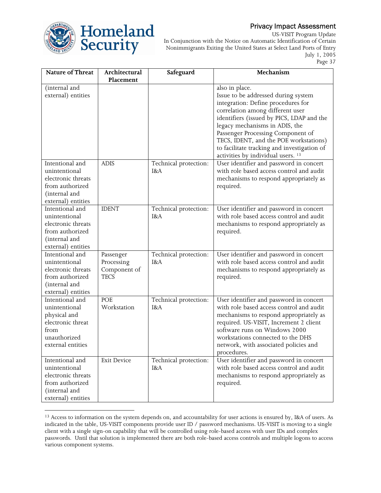

 $\overline{a}$ 

## Privacy Impact Assessment

US-VISIT Program Update In Conjunction with the Notice on Automatic Identification of Certain Nonimmigrants Exiting the United States at Select Land Ports of Entry July 1, 2005 Page 37

| Placement<br>(internal and<br>also in place.<br>external) entities<br>Issue to be addressed during system<br>integration: Define procedures for                               |  |
|-------------------------------------------------------------------------------------------------------------------------------------------------------------------------------|--|
|                                                                                                                                                                               |  |
|                                                                                                                                                                               |  |
|                                                                                                                                                                               |  |
|                                                                                                                                                                               |  |
| correlation among different user                                                                                                                                              |  |
| identifiers (issued by PICS, LDAP and the                                                                                                                                     |  |
| legacy mechanisms in ADIS, the                                                                                                                                                |  |
| Passenger Processing Component of                                                                                                                                             |  |
| TECS, IDENT, and the POE workstations)                                                                                                                                        |  |
| to facilitate tracking and investigation of                                                                                                                                   |  |
| activities by individual users. <sup>13</sup>                                                                                                                                 |  |
| Intentional and<br><b>ADIS</b><br>User identifier and password in concert<br>Technical protection:                                                                            |  |
| unintentional<br>with role based access control and audit<br>I&A                                                                                                              |  |
| electronic threats<br>mechanisms to respond appropriately as                                                                                                                  |  |
| from authorized<br>required.<br>(internal and                                                                                                                                 |  |
| external) entities                                                                                                                                                            |  |
| <b>IDENT</b><br>User identifier and password in concert<br>Intentional and<br>Technical protection:                                                                           |  |
| with role based access control and audit<br>unintentional<br>I&A                                                                                                              |  |
| electronic threats<br>mechanisms to respond appropriately as                                                                                                                  |  |
| from authorized<br>required.                                                                                                                                                  |  |
| (internal and                                                                                                                                                                 |  |
| external) entities                                                                                                                                                            |  |
| Intentional and<br>User identifier and password in concert<br>Technical protection:<br>Passenger                                                                              |  |
| with role based access control and audit<br>unintentional<br>Processing<br>I&A                                                                                                |  |
| Component of<br>electronic threats<br>mechanisms to respond appropriately as                                                                                                  |  |
| from authorized<br><b>TECS</b><br>required.                                                                                                                                   |  |
| (internal and                                                                                                                                                                 |  |
| external) entities                                                                                                                                                            |  |
| Intentional and<br>User identifier and password in concert<br>POE<br>Technical protection:                                                                                    |  |
| with role based access control and audit<br>Workstation<br>unintentional<br>I&A                                                                                               |  |
| physical and<br>mechanisms to respond appropriately as                                                                                                                        |  |
| electronic threat<br>required. US-VISIT, Increment 2 client                                                                                                                   |  |
| software runs on Windows 2000<br>from                                                                                                                                         |  |
| unauthorized<br>workstations connected to the DHS                                                                                                                             |  |
| external entities<br>network, with associated policies and                                                                                                                    |  |
| procedures.                                                                                                                                                                   |  |
| User identifier and password in concert<br>Intentional and<br><b>Exit Device</b><br>Technical protection:<br>with role based access control and audit<br>unintentional<br>I&A |  |
| electronic threats<br>mechanisms to respond appropriately as                                                                                                                  |  |
| from authorized<br>required.                                                                                                                                                  |  |
| (internal and                                                                                                                                                                 |  |
| external) entities                                                                                                                                                            |  |

<sup>&</sup>lt;sup>13</sup> Access to information on the system depends on, and accountability for user actions is ensured by, I&A of users. As indicated in the table, US-VISIT components provide user ID / password mechanisms. US-VISIT is moving to a single client with a single sign-on capability that will be controlled using role-based access with user IDs and complex passwords. Until that solution is implemented there are both role-based access controls and multiple logons to access various component systems.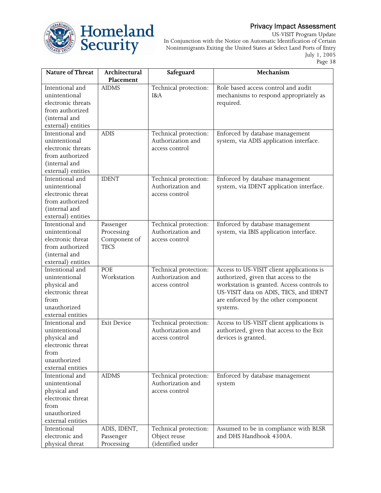

US-VISIT Program Update In Conjunction with the Notice on Automatic Identification of Certain Nonimmigrants Exiting the United States at Select Land Ports of Entry July 1, 2005 Page 38

| Nature of Threat   | Architectural      | Safeguard             | Mechanism                                  |
|--------------------|--------------------|-----------------------|--------------------------------------------|
|                    | Placement          |                       |                                            |
| Intentional and    | <b>AIDMS</b>       | Technical protection: | Role based access control and audit        |
| unintentional      |                    | I&A                   | mechanisms to respond appropriately as     |
| electronic threats |                    |                       | required.                                  |
| from authorized    |                    |                       |                                            |
| (internal and      |                    |                       |                                            |
| external) entities |                    |                       |                                            |
| Intentional and    | <b>ADIS</b>        | Technical protection: | Enforced by database management            |
| unintentional      |                    | Authorization and     | system, via ADIS application interface.    |
| electronic threats |                    | access control        |                                            |
| from authorized    |                    |                       |                                            |
| (internal and      |                    |                       |                                            |
| external) entities |                    |                       |                                            |
| Intentional and    | <b>IDENT</b>       | Technical protection: | Enforced by database management            |
| unintentional      |                    | Authorization and     | system, via IDENT application interface.   |
| electronic threat  |                    | access control        |                                            |
| from authorized    |                    |                       |                                            |
| (internal and      |                    |                       |                                            |
| external) entities |                    |                       |                                            |
| Intentional and    | Passenger          | Technical protection: | Enforced by database management            |
| unintentional      | Processing         | Authorization and     | system, via IBIS application interface.    |
| electronic threat  | Component of       | access control        |                                            |
| from authorized    | <b>TECS</b>        |                       |                                            |
| (internal and      |                    |                       |                                            |
| external) entities |                    |                       |                                            |
| Intentional and    | POE                | Technical protection: | Access to US-VISIT client applications is  |
| unintentional      | Workstation        | Authorization and     | authorized, given that access to the       |
| physical and       |                    | access control        | workstation is granted. Access controls to |
| electronic threat  |                    |                       | US-VISIT data on ADIS, TECS, and IDENT     |
| from               |                    |                       | are enforced by the other component        |
| unauthorized       |                    |                       | systems.                                   |
| external entities  |                    |                       |                                            |
| Intentional and    | <b>Exit Device</b> | Technical protection: | Access to US-VISIT client applications is  |
| unintentional      |                    | Authorization and     | authorized, given that access to the Exit  |
| physical and       |                    | access control        | devices is granted.                        |
| electronic threat  |                    |                       |                                            |
| from               |                    |                       |                                            |
| unauthorized       |                    |                       |                                            |
| external entities  |                    |                       |                                            |
| Intentional and    | <b>AIDMS</b>       | Technical protection: | Enforced by database management            |
| unintentional      |                    | Authorization and     | system                                     |
| physical and       |                    | access control        |                                            |
| electronic threat  |                    |                       |                                            |
| from               |                    |                       |                                            |
| unauthorized       |                    |                       |                                            |
| external entities  |                    |                       |                                            |
| Intentional        | ADIS, IDENT,       | Technical protection: | Assumed to be in compliance with BLSR      |
| electronic and     | Passenger          | Object reuse          | and DHS Handbook 4300A.                    |
| physical threat    | Processing         | (identified under     |                                            |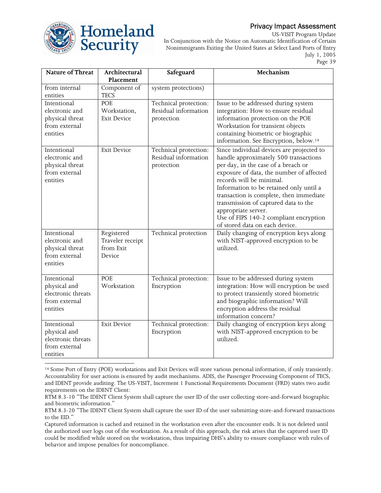

US-VISIT Program Update In Conjunction with the Notice on Automatic Identification of Certain Nonimmigrants Exiting the United States at Select Land Ports of Entry July 1, 2005 Page 39

| Nature of Threat   | Architectural      | Safeguard             | Mechanism                                         |
|--------------------|--------------------|-----------------------|---------------------------------------------------|
|                    | Placement          |                       |                                                   |
| from internal      | Component of       | system protections)   |                                                   |
| entities           | <b>TECS</b>        |                       |                                                   |
| Intentional        | POE                | Technical protection: | Issue to be addressed during system               |
| electronic and     | Workstation,       | Residual information  | integration: How to ensure residual               |
| physical threat    | <b>Exit Device</b> | protection            | information protection on the POE                 |
| from external      |                    |                       | Workstation for transient objects                 |
| entities           |                    |                       | containing biometric or biographic                |
|                    |                    |                       | information. See Encryption, below. <sup>14</sup> |
| Intentional        | <b>Exit Device</b> | Technical protection: | Since individual devices are projected to         |
| electronic and     |                    | Residual information  | handle approximately 500 transactions             |
| physical threat    |                    | protection            | per day, in the case of a breach or               |
| from external      |                    |                       | exposure of data, the number of affected          |
| entities           |                    |                       | records will be minimal.                          |
|                    |                    |                       | Information to be retained only until a           |
|                    |                    |                       | transaction is complete, then immediate           |
|                    |                    |                       | transmission of captured data to the              |
|                    |                    |                       | appropriate server.                               |
|                    |                    |                       | Use of FIPS 140-2 compliant encryption            |
|                    |                    |                       | of stored data on each device.                    |
| Intentional        | Registered         | Technical protection  | Daily changing of encryption keys along           |
| electronic and     | Traveler receipt   |                       | with NIST-approved encryption to be               |
| physical threat    | from Exit          |                       | utilized.                                         |
| from external      | Device             |                       |                                                   |
| entities           |                    |                       |                                                   |
|                    |                    |                       |                                                   |
| Intentional        | POE                | Technical protection: | Issue to be addressed during system               |
| physical and       | Workstation        | Encryption            | integration: How will encryption be used          |
| electronic threats |                    |                       | to protect transiently stored biometric           |
| from external      |                    |                       | and biographic information? Will                  |
| entities           |                    |                       | encryption address the residual                   |
|                    |                    |                       | information concern?                              |
| Intentional        | <b>Exit Device</b> | Technical protection: | Daily changing of encryption keys along           |
| physical and       |                    | Encryption            | with NIST-approved encryption to be               |
| electronic threats |                    |                       | utilized.                                         |
| from external      |                    |                       |                                                   |
| entities           |                    |                       |                                                   |

 $\overline{a}$ 14 Some Port of Entry (POE) workstations and Exit Devices will store various personal information, if only transiently. Accountability for user actions is ensured by audit mechanisms. ADIS, the Passenger Processing Component of TECS, and IDENT provide auditing. The US-VISIT, Increment 1 Functional Requirements Document (FRD) states two audit requirements on the IDENT Client:

RTM 8.3-10 "The IDENT Client System shall capture the user ID of the user collecting store-and-forward biographic and biometric information."

RTM 8.3-20 "The IDENT Client System shall capture the user ID of the user submitting store-and-forward transactions to the EID."

Captured information is cached and retained in the workstation even after the encounter ends. It is not deleted until the authorized user logs out of the workstation. As a result of this approach, the risk arises that the captured user ID could be modified while stored on the workstation, thus impairing DHS's ability to ensure compliance with rules of behavior and impose penalties for noncompliance.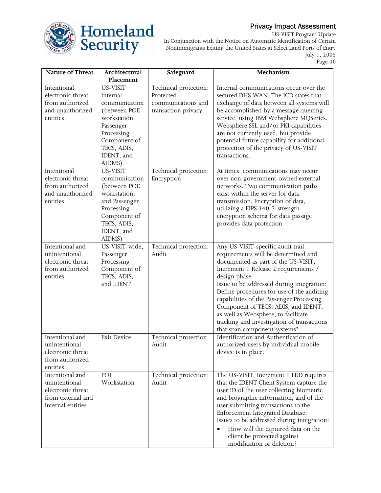

US-VISIT Program Update In Conjunction with the Notice on Automatic Identification of Certain Nonimmigrants Exiting the United States at Select Land Ports of Entry July 1, 2005 Page 40

| Nature of Threat  | Architectural      | Safeguard             | Mechanism                                  |
|-------------------|--------------------|-----------------------|--------------------------------------------|
|                   | Placement          |                       |                                            |
| Intentional       | US-VISIT           | Technical protection: | Internal communications occur over the     |
| electronic threat | internal           | Protected             | secured DHS WAN. The ICD states that       |
| from authorized   | communication      | communications and    | exchange of data between all systems will  |
| and unauthorized  | (between POE       | transaction privacy   | be accomplished by a message queuing       |
| entities          | workstation,       |                       | service, using IBM Websphere MQSeries.     |
|                   | Passenger          |                       | Websphere SSL and/or PKI capabilities      |
|                   | Processing         |                       | are not currently used, but provide        |
|                   | Component of       |                       | potential future capability for additional |
|                   | TECS, ADIS,        |                       | protection of the privacy of US-VISIT      |
|                   | IDENT, and         |                       | transactions.                              |
|                   | AIDMS)             |                       |                                            |
| Intentional       | US-VISIT           | Technical protection: | At times, communications may occur         |
| electronic threat | communication      | Encryption            | over non-government-owned external         |
| from authorized   | (between POE       |                       | networks. Two communication paths          |
| and unauthorized  | workstation,       |                       | exist within the server for data           |
| entities          | and Passenger      |                       | transmission. Encryption of data,          |
|                   | Processing         |                       | utilizing a FIPS 140-2-strength            |
|                   | Component of       |                       | encryption schema for data passage         |
|                   | TECS, ADIS,        |                       | provides data protection.                  |
|                   | IDENT, and         |                       |                                            |
|                   | AIDMS)             |                       |                                            |
| Intentional and   | US-VISIT-wide,     | Technical protection: | Any US-VISIT-specific audit trail          |
| unintentional     | Passenger          | Audit                 | requirements will be determined and        |
| electronic threat | Processing         |                       | documented as part of the US-VISIT,        |
| from authorized   | Component of       |                       | Increment 1 Release 2 requirements /       |
| entities          | TECS, ADIS,        |                       | design phase.                              |
|                   | and IDENT          |                       | Issue to be addressed during integration:  |
|                   |                    |                       | Define procedures for use of the auditing  |
|                   |                    |                       | capabilities of the Passenger Processing   |
|                   |                    |                       | Component of TECS, ADIS, and IDENT,        |
|                   |                    |                       | as well as Websphere, to facilitate        |
|                   |                    |                       | tracking and investigation of transactions |
|                   |                    |                       | that span component systems?               |
| Intentional and   | <b>Exit Device</b> | Technical protection: | Identification and Authentication of       |
| unintentional     |                    | Audit                 | authorized users by individual mobile      |
| electronic threat |                    |                       | device is in place.                        |
| from authorized   |                    |                       |                                            |
| entities          |                    |                       |                                            |
| Intentional and   | POE                | Technical protection: | The US-VISIT, Increment 1 FRD requires     |
| unintentional     | Workstation        | Audit                 | that the IDENT Client System capture the   |
| electronic threat |                    |                       | user ID of the user collecting biometric   |
| from external and |                    |                       | and biographic information, and of the     |
| internal entities |                    |                       | user submitting transactions to the        |
|                   |                    |                       | Enforcement Integrated Database.           |
|                   |                    |                       | Issues to be addressed during integration: |
|                   |                    |                       | How will the captured data on the          |
|                   |                    |                       | client be protected against                |
|                   |                    |                       | modification or deletion?                  |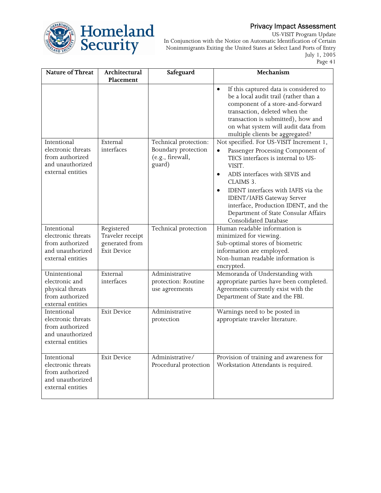

US-VISIT Program Update In Conjunction with the Notice on Automatic Identification of Certain Nonimmigrants Exiting the United States at Select Land Ports of Entry July 1, 2005

Page 41

| Nature of Threat                                                                              | Architectural<br>Placement                                             | Safeguard                                                                  | Mechanism                                                                                                                                                                                                                                                                                                                                                                                                                                                                                                                                                                                                                                                        |
|-----------------------------------------------------------------------------------------------|------------------------------------------------------------------------|----------------------------------------------------------------------------|------------------------------------------------------------------------------------------------------------------------------------------------------------------------------------------------------------------------------------------------------------------------------------------------------------------------------------------------------------------------------------------------------------------------------------------------------------------------------------------------------------------------------------------------------------------------------------------------------------------------------------------------------------------|
| Intentional<br>electronic threats<br>from authorized<br>and unauthorized<br>external entities | External<br>interfaces                                                 | Technical protection:<br>Boundary protection<br>(e.g., firewall,<br>guard) | If this captured data is considered to<br>$\bullet$<br>be a local audit trail (rather than a<br>component of a store-and-forward<br>transaction, deleted when the<br>transaction is submitted), how and<br>on what system will audit data from<br>multiple clients be aggregated?<br>Not specified. For US-VISIT Increment 1,<br>Passenger Processing Component of<br>TECS interfaces is internal to US-<br>VISIT.<br>ADIS interfaces with SEVIS and<br>٠<br>CLAIMS 3.<br>IDENT interfaces with IAFIS via the<br>٠<br><b>IDENT/IAFIS Gateway Server</b><br>interface, Production IDENT, and the<br>Department of State Consular Affairs<br>Consolidated Database |
| Intentional<br>electronic threats<br>from authorized<br>and unauthorized<br>external entities | Registered<br>Traveler receipt<br>generated from<br><b>Exit Device</b> | Technical protection                                                       | Human readable information is<br>minimized for viewing.<br>Sub-optimal stores of biometric<br>information are employed.<br>Non-human readable information is<br>encrypted.                                                                                                                                                                                                                                                                                                                                                                                                                                                                                       |
| Unintentional<br>electronic and<br>physical threats<br>from authorized<br>external entities   | External<br>interfaces                                                 | Administrative<br>protection: Routine<br>use agreements                    | Memoranda of Understanding with<br>appropriate parties have been completed.<br>Agreements currently exist with the<br>Department of State and the FBI.                                                                                                                                                                                                                                                                                                                                                                                                                                                                                                           |
| Intentional<br>electronic threats<br>from authorized<br>and unauthorized<br>external entities | <b>Exit Device</b>                                                     | Administrative<br>protection                                               | Warnings need to be posted in<br>appropriate traveler literature.                                                                                                                                                                                                                                                                                                                                                                                                                                                                                                                                                                                                |
| Intentional<br>electronic threats<br>from authorized<br>and unauthorized<br>external entities | <b>Exit Device</b>                                                     | Administrative/<br>Procedural protection                                   | Provision of training and awareness for<br>Workstation Attendants is required.                                                                                                                                                                                                                                                                                                                                                                                                                                                                                                                                                                                   |